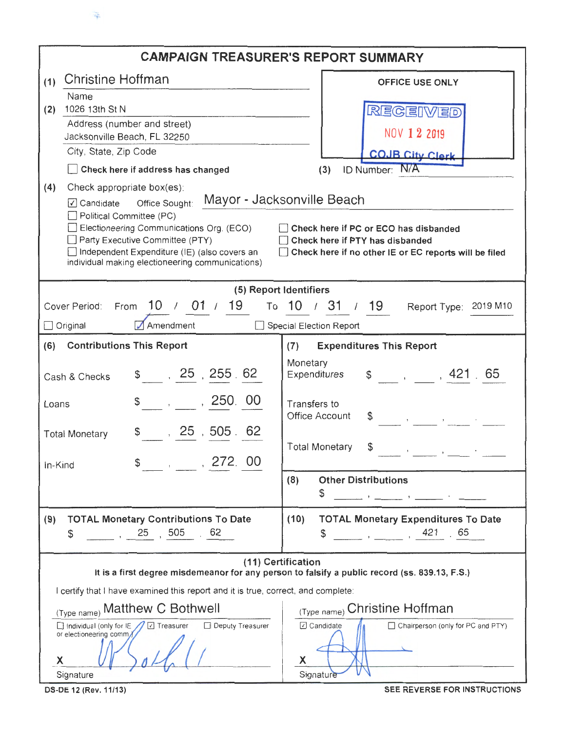

|                                                                                                                                                                                                                                                                                                                                                                                                              | <b>CAMPAIGN TREASURER'S REPORT SUMMARY</b>                                                                                                                                                                                                                                                                                                                                                                                                                                                                                                                                                      |  |  |  |  |  |  |  |
|--------------------------------------------------------------------------------------------------------------------------------------------------------------------------------------------------------------------------------------------------------------------------------------------------------------------------------------------------------------------------------------------------------------|-------------------------------------------------------------------------------------------------------------------------------------------------------------------------------------------------------------------------------------------------------------------------------------------------------------------------------------------------------------------------------------------------------------------------------------------------------------------------------------------------------------------------------------------------------------------------------------------------|--|--|--|--|--|--|--|
| Christine Hoffman<br>(1)                                                                                                                                                                                                                                                                                                                                                                                     | <b>OFFICE USE ONLY</b>                                                                                                                                                                                                                                                                                                                                                                                                                                                                                                                                                                          |  |  |  |  |  |  |  |
| Name                                                                                                                                                                                                                                                                                                                                                                                                         |                                                                                                                                                                                                                                                                                                                                                                                                                                                                                                                                                                                                 |  |  |  |  |  |  |  |
| 1026 13th St N<br>(2)<br>Address (number and street)                                                                                                                                                                                                                                                                                                                                                         | REGEIVED                                                                                                                                                                                                                                                                                                                                                                                                                                                                                                                                                                                        |  |  |  |  |  |  |  |
| Jacksonville Beach, FL 32250                                                                                                                                                                                                                                                                                                                                                                                 | NOV 1 2 2019                                                                                                                                                                                                                                                                                                                                                                                                                                                                                                                                                                                    |  |  |  |  |  |  |  |
| City, State, Zip Code                                                                                                                                                                                                                                                                                                                                                                                        | <b>COJB City Clerk</b>                                                                                                                                                                                                                                                                                                                                                                                                                                                                                                                                                                          |  |  |  |  |  |  |  |
| Check here if address has changed                                                                                                                                                                                                                                                                                                                                                                            | ID Number: N/A<br>(3)                                                                                                                                                                                                                                                                                                                                                                                                                                                                                                                                                                           |  |  |  |  |  |  |  |
| (4)<br>Check appropriate box(es).                                                                                                                                                                                                                                                                                                                                                                            |                                                                                                                                                                                                                                                                                                                                                                                                                                                                                                                                                                                                 |  |  |  |  |  |  |  |
| Mayor - Jacksonville Beach<br>☑ Candidate Office Sought:<br>Political Committee (PC)<br>Electioneering Communications Org. (ECO)<br>Check here if PC or ECO has disbanded<br>Party Executive Committee (PTY)<br>Check here if PTY has disbanded<br>Independent Expenditure (IE) (also covers an<br>Check here if no other IE or EC reports will be filed<br>individual making electioneering communications) |                                                                                                                                                                                                                                                                                                                                                                                                                                                                                                                                                                                                 |  |  |  |  |  |  |  |
|                                                                                                                                                                                                                                                                                                                                                                                                              | (5) Report Identifiers                                                                                                                                                                                                                                                                                                                                                                                                                                                                                                                                                                          |  |  |  |  |  |  |  |
| From 10 / 01 / 19<br>Cover Period:                                                                                                                                                                                                                                                                                                                                                                           | To 10 / 31 / 19<br>Report Type: 2019 M10                                                                                                                                                                                                                                                                                                                                                                                                                                                                                                                                                        |  |  |  |  |  |  |  |
| Amendment<br>Original                                                                                                                                                                                                                                                                                                                                                                                        | Special Election Report                                                                                                                                                                                                                                                                                                                                                                                                                                                                                                                                                                         |  |  |  |  |  |  |  |
| (6)<br><b>Contributions This Report</b>                                                                                                                                                                                                                                                                                                                                                                      | <b>Expenditures This Report</b><br>(7)                                                                                                                                                                                                                                                                                                                                                                                                                                                                                                                                                          |  |  |  |  |  |  |  |
| \$ 25, 255.62<br>Cash & Checks                                                                                                                                                                                                                                                                                                                                                                               | Monetary<br>$\frac{1}{2}$ , , 421 65<br>Expenditures                                                                                                                                                                                                                                                                                                                                                                                                                                                                                                                                            |  |  |  |  |  |  |  |
| , 250.00<br>Loans                                                                                                                                                                                                                                                                                                                                                                                            | Transfers to<br>Office Account<br>$\mathcal{L}$<br>$\label{eq:3.1} A_{\alpha\beta} = \frac{1}{\alpha} \left( \frac{1}{\alpha} \right)^{\alpha\beta} \left( \frac{1}{\alpha} \right)^{\alpha\beta} \left( \frac{1}{\alpha} \right)^{\alpha\beta} \left( \frac{1}{\alpha} \right)^{\alpha\beta} \left( \frac{1}{\alpha} \right)^{\alpha\beta} \left( \frac{1}{\alpha} \right)^{\alpha\beta} \left( \frac{1}{\alpha} \right)^{\alpha\beta} \left( \frac{1}{\alpha} \right)^{\alpha\beta} \left( \frac{1}{\alpha} \right)^{\alpha\beta} \left( \frac{1}{\alpha} \right)^{\alpha\beta} \left( \frac$ |  |  |  |  |  |  |  |
| ,25,505.62<br><b>Total Monetary</b>                                                                                                                                                                                                                                                                                                                                                                          | <b>Total Monetary</b><br>\$                                                                                                                                                                                                                                                                                                                                                                                                                                                                                                                                                                     |  |  |  |  |  |  |  |
| , 272.00<br>In-Kind                                                                                                                                                                                                                                                                                                                                                                                          |                                                                                                                                                                                                                                                                                                                                                                                                                                                                                                                                                                                                 |  |  |  |  |  |  |  |
|                                                                                                                                                                                                                                                                                                                                                                                                              | <b>Other Distributions</b><br>(8)<br>\$                                                                                                                                                                                                                                                                                                                                                                                                                                                                                                                                                         |  |  |  |  |  |  |  |
| <b>TOTAL Monetary Contributions To Date</b><br>(9)<br>$\frac{1}{2}$ , 25, 505<br>.62<br>\$                                                                                                                                                                                                                                                                                                                   | <b>TOTAL Monetary Expenditures To Date</b><br>(10)<br>$\frac{1}{1}$ , $\frac{1}{1}$ , 421, 65<br>\$                                                                                                                                                                                                                                                                                                                                                                                                                                                                                             |  |  |  |  |  |  |  |
|                                                                                                                                                                                                                                                                                                                                                                                                              | (11) Certification<br>It is a first degree misdemeanor for any person to falsify a public record (ss. 839.13, F.S.)                                                                                                                                                                                                                                                                                                                                                                                                                                                                             |  |  |  |  |  |  |  |
| I certify that I have examined this report and it is true, correct, and complete:                                                                                                                                                                                                                                                                                                                            |                                                                                                                                                                                                                                                                                                                                                                                                                                                                                                                                                                                                 |  |  |  |  |  |  |  |
| (Type name) Matthew C Bothwell                                                                                                                                                                                                                                                                                                                                                                               | (Type name) Christine Hoffman                                                                                                                                                                                                                                                                                                                                                                                                                                                                                                                                                                   |  |  |  |  |  |  |  |
| Deputy Treasurer<br>Individual (only for IE / V Treasurer<br>or electioneering comm/<br>Х                                                                                                                                                                                                                                                                                                                    | Candidate<br>Chairperson (only for PC and PTY)<br>X                                                                                                                                                                                                                                                                                                                                                                                                                                                                                                                                             |  |  |  |  |  |  |  |
| Signature                                                                                                                                                                                                                                                                                                                                                                                                    | Sgnature                                                                                                                                                                                                                                                                                                                                                                                                                                                                                                                                                                                        |  |  |  |  |  |  |  |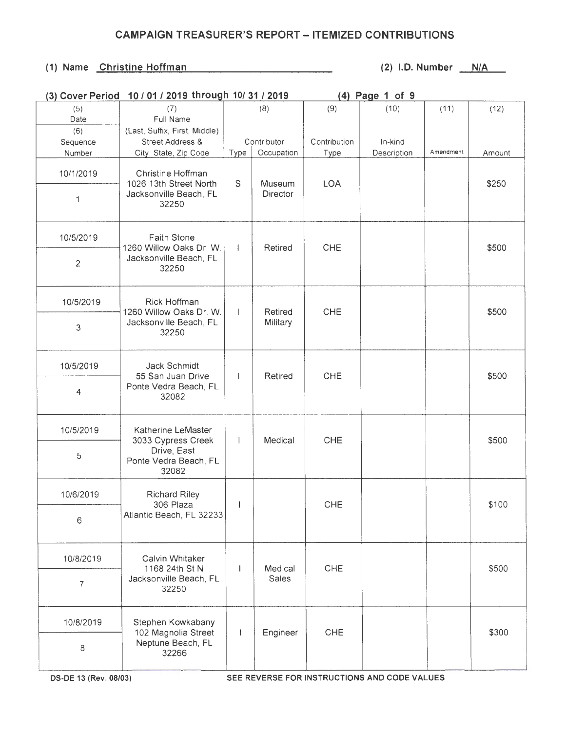#### (1) Name Christine Hoffman (2) 1.D. Number N/A

| (3) Cover Period | 10 / 01 / 2019 through 10/ 31 / 2019                |                | (4) Page 1 of 9 |              |             |           |        |
|------------------|-----------------------------------------------------|----------------|-----------------|--------------|-------------|-----------|--------|
| (5)<br>Date      | (7)<br>Full Name                                    |                | (8)             | (9)          | (10)        | (11)      | (12)   |
| (6)              | (Last, Suffix, First, Middle)                       |                |                 |              |             |           |        |
| Sequence         | Street Address &                                    |                | Contributor     | Contribution | In-kind     |           |        |
| Number           | City, State, Zip Code                               | Type           | Occupation      | Type         | Description | Amendment | Amount |
| 10/1/2019        | Christine Hoffman<br>1026 13th Street North         | $\mathsf S$    | Museum          | <b>LOA</b>   |             |           | \$250  |
| 1                | Jacksonville Beach, FL<br>32250                     |                | Director        |              |             |           |        |
| 10/5/2019        | Faith Stone<br>1260 Willow Oaks Dr. W.              | $\overline{1}$ | Retired         | <b>CHE</b>   |             |           | \$500  |
| $\overline{c}$   | Jacksonville Beach, FL<br>32250                     |                |                 |              |             |           |        |
| 10/5/2019        | Rick Hoffman<br>1260 Willow Oaks Dr. W.             | $\mathbf{I}$   | Retired         | CHE          |             |           | \$500  |
| 3                | Jacksonville Beach, FL<br>32250                     |                | Military        |              |             |           |        |
| 10/5/2019        | Jack Schmidt                                        | $\mathbf{I}$   | Retired         | CHE          |             |           | \$500  |
| 4                | 55 San Juan Drive<br>Ponte Vedra Beach, FL<br>32082 |                |                 |              |             |           |        |
| 10/5/2019        | Katherine LeMaster<br>3033 Cypress Creek            |                | Medical         | CHE          |             |           | \$500  |
| 5                | Drive, East<br>Ponte Vedra Beach, FL<br>32082       |                |                 |              |             |           |        |
| 10/6/2019        | <b>Richard Riley</b><br>306 Plaza                   |                |                 | CHE          |             |           | \$100  |
| 6                | Atlantic Beach, FL 32233                            |                |                 |              |             |           |        |
| 10/8/2019        | Calvin Whitaker<br>1168 24th St N                   |                | Medical         | CHE          |             |           | \$500  |
| $\overline{7}$   | Jacksonville Beach, FL<br>32250                     |                | Sales           |              |             |           |        |
| 10/8/2019        | Stephen Kowkabany<br>102 Magnolia Street            | $\overline{1}$ | Engineer        | <b>CHE</b>   |             |           | \$300  |
| 8                | Neptune Beach, FL<br>32266                          |                |                 |              |             |           |        |

OS-DE 13 (Rev. 08/03) SEE REVERSE FOR INSTRUCTIONS AND CODE VALUES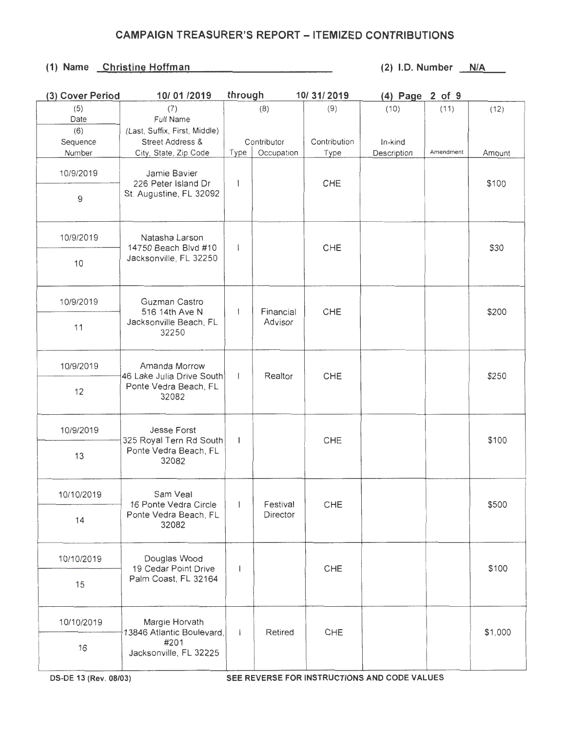| (3) Cover Period | 10/01/2019                                                  | through        |             | 10/31/2019   | (4) Page 2 of 9 |           |         |
|------------------|-------------------------------------------------------------|----------------|-------------|--------------|-----------------|-----------|---------|
| (5)              | (7)                                                         |                | (8)         | (9)          | (10)            | (11)      | (12)    |
| Date             | Full Name                                                   |                |             |              |                 |           |         |
| (6)              | (Last, Suffix, First, Middle)                               |                |             |              |                 |           |         |
| Sequence         | Street Address &                                            |                | Contributor | Contribution | In-kind         |           |         |
| Number           | City, State, Zip Code                                       | Type           | Occupation  | Type         | Description     | Amendment | Amount  |
| 10/9/2019        | Jamie Bavier                                                |                |             |              |                 |           |         |
| 9                | 226 Peter Island Dr<br>St. Augustine, FL 32092              | 1              |             | CHE          |                 |           | \$100   |
| 10/9/2019        | Natasha Larson<br>14750 Beach Blvd #10                      | $\mathbf{I}$   |             | CHE          |                 |           | \$30    |
| 10               | Jacksonville, FL 32250                                      |                |             |              |                 |           |         |
| 10/9/2019        | Guzman Castro<br>516 14th Ave N                             | $\overline{1}$ | Financial   | CHE          |                 |           | \$200   |
| 11               | Jacksonville Beach, FL<br>32250                             |                | Advisor     |              |                 |           |         |
| 10/9/2019        | Amanda Morrow                                               | $\pm$          | Realtor     | CHE          |                 |           | \$250   |
| 12               | 46 Lake Julia Drive South<br>Ponte Vedra Beach, FL<br>32082 |                |             |              |                 |           |         |
| 10/9/2019        | <b>Jesse Forst</b><br>325 Royal Tern Rd South               | $\mathbf{I}$   |             | CHE          |                 |           | \$100   |
| 13               | Ponte Vedra Beach, FL<br>32082                              |                |             |              |                 |           |         |
| 10/10/2019       | Sam Veal<br>16 Ponte Vedra Circle                           | $\mathbf{1}$   | Festival    | CHE          |                 |           | \$500   |
| 14               | Ponte Vedra Beach, FL<br>32082                              |                | Director    |              |                 |           |         |
| 10/10/2019       | Douglas Wood<br>19 Cedar Point Drive                        | $\mathbf{I}$   |             | CHE          |                 |           | \$100   |
| 15               | Palm Coast, FL 32164                                        |                |             |              |                 |           |         |
| 10/10/2019       | Margie Horvath<br>13846 Atlantic Boulevard,                 | $\mathbf{I}$   | Retired     | CHE          |                 |           | \$1,000 |
| 16               | #201<br>Jacksonville, FL 32225                              |                |             |              |                 |           |         |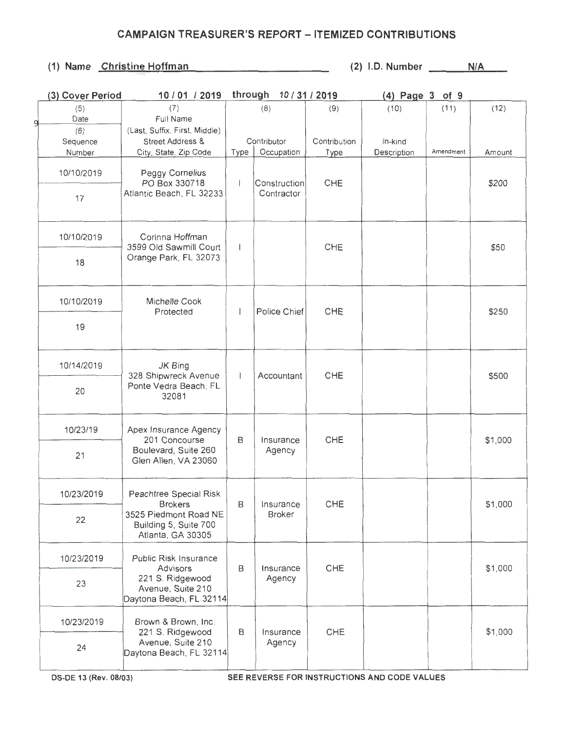| (3) Cover Period | 10 / 01 / 2019                                                      | through 10 / 31 / 2019   |                     |              | $(4)$ Page 3 of 9 |           |         |
|------------------|---------------------------------------------------------------------|--------------------------|---------------------|--------------|-------------------|-----------|---------|
| (5)              | (7)                                                                 |                          | (8)                 | (9)          | (10)              | (11)      | (12)    |
| Date<br>g        | Full Name                                                           |                          |                     |              |                   |           |         |
| (6)              | (Last, Suffix, First, Middle)                                       |                          |                     |              |                   |           |         |
| Sequence         | <b>Street Address &amp;</b>                                         |                          | Contributor         | Contribution | In-kind           |           |         |
| Number           | City, State, Zip Code                                               | Type                     | Occupation          | Type         | Description       | Amendment | Amount  |
| 10/10/2019       | Peggy Cornelius<br>PO Box 330718                                    | $\overline{\phantom{a}}$ | Construction        | CHE          |                   |           | \$200   |
| 17               | Atlantic Beach, FL 32233                                            |                          | Contractor          |              |                   |           |         |
| 10/10/2019       | Corinna Hoffman<br>3599 Old Sawmill Court                           | $\overline{\phantom{a}}$ |                     | CHE          |                   |           | \$50    |
| 18               | Orange Park, FL 32073                                               |                          |                     |              |                   |           |         |
| 10/10/2019       | Michelle Cook<br>Protected                                          | I                        | Police Chief        | CHE          |                   |           | \$250   |
| 19               |                                                                     |                          |                     |              |                   |           |         |
| 10/14/2019       | JK Bing<br>328 Shipwreck Avenue<br>Ponte Vedra Beach, FL<br>32081   | $\mathsf{I}$             | Accountant          | CHE          |                   |           | \$500   |
| 20               |                                                                     |                          |                     |              |                   |           |         |
| 10/23/19         | Apex Insurance Agency<br>201 Concourse                              | B                        | Insurance           | CHE          |                   |           | \$1,000 |
| 21               | Boulevard, Suite 260<br>Glen Allen, VA 23060                        |                          | Agency              |              |                   |           |         |
| 10/23/2019       | Peachtree Special Risk<br><b>Brokers</b>                            | B                        | Insurance           | CHE          |                   |           | \$1,000 |
| 22               | 3525 Piedmont Road NE<br>Building 5, Suite 700<br>Atlanta, GA 30305 |                          | <b>Broker</b>       |              |                   |           |         |
| 10/23/2019       | Public Risk Insurance<br>Advisors                                   | B                        | Insurance           | CHE          |                   |           | \$1,000 |
| 23               | 221 S. Ridgewood<br>Avenue, Suite 210<br>Daytona Beach, FL 32114    |                          | Agency              |              |                   |           |         |
| 10/23/2019       | Brown & Brown, Inc.                                                 | B                        |                     | CHE          |                   |           | \$1,000 |
| 24               | 221 S. Ridgewood<br>Avenue, Suite 210<br>Daytona Beach, FL 32114    |                          | Insurance<br>Agency |              |                   |           |         |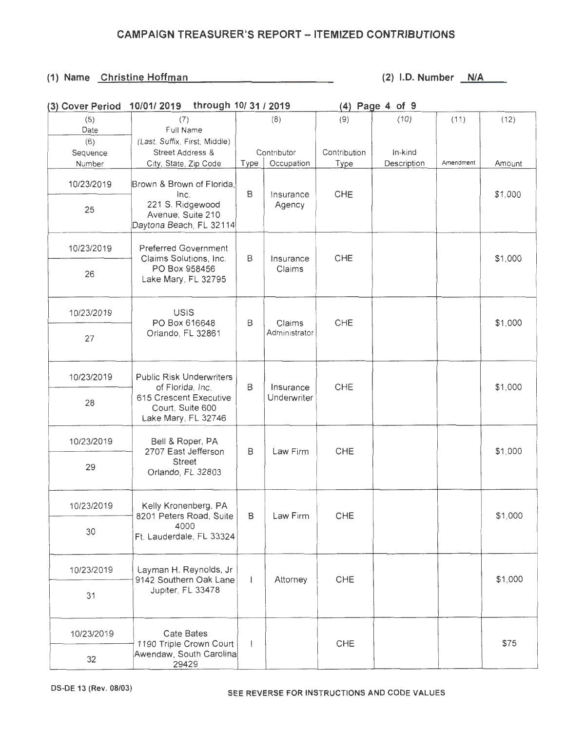| (3) Cover Period | through 10/ 31 / 2019<br>10/01/2019                                      |                          |               | $(4)$ Page 4 of 9 |             |           |         |
|------------------|--------------------------------------------------------------------------|--------------------------|---------------|-------------------|-------------|-----------|---------|
| (5)              | (7)                                                                      |                          | (8)           | (9)               | (10)        | (11)      | (12)    |
| Date             | Full Name                                                                |                          |               |                   |             |           |         |
| (6)              | (Last, Suffix, First, Middle)                                            |                          |               |                   |             |           |         |
| Sequence         | Street Address &                                                         |                          | Contributor   | Contribution      | In-kind     |           |         |
| Number           | City, State, Zip Code                                                    | Type                     | Occupation    | Type              | Description | Amendment | Amount  |
| 10/23/2019       | Brown & Brown of Florida,                                                |                          |               |                   |             |           |         |
| 25               | Inc.<br>221 S. Ridgewood<br>Avenue, Suite 210<br>Daytona Beach, FL 32114 | B<br>Insurance<br>Agency |               | CHE               |             |           | \$1,000 |
| 10/23/2019       | <b>Preferred Government</b><br>Claims Solutions, Inc.                    | B                        | Insurance     | CHE               |             |           | \$1,000 |
| 26               | PO Box 958456<br>Lake Mary, FL 32795                                     |                          | Claims        |                   |             |           |         |
| 10/23/2019       | USIS<br>PO Box 616648                                                    | B                        | Claims        | CHE               |             |           | \$1,000 |
| 27               | Orlando, FL 32861                                                        |                          | Administrator |                   |             |           |         |
| 10/23/2019       | <b>Public Risk Underwriters</b><br>of Florida, Inc.                      | B                        | Insurance     | CHE               |             |           | \$1,000 |
| 28               | 615 Crescent Executive<br>Court, Suite 600<br>Lake Mary, FL 32746        |                          | Underwriter   |                   |             |           |         |
| 10/23/2019       | Bell & Roper, PA<br>2707 East Jefferson                                  | B                        | Law Firm      | CHE               |             |           | \$1,000 |
| 29               | <b>Street</b><br>Orlando, FL 32803                                       |                          |               |                   |             |           |         |
| 10/23/2019       | Kelly Kronenberg, PA<br>8201 Peters Road, Suite                          | $\mathsf{B}$             | Law Firm      | CHE               |             |           | \$1,000 |
| 30               | 4000<br>Ft. Lauderdale, FL 33324                                         |                          |               |                   |             |           |         |
| 10/23/2019       | Layman H. Reynolds, Jr<br>9142 Southern Oak Lane                         | T                        | Attorney      | CHE               |             |           | \$1,000 |
| 31               | Jupiter, FL 33478                                                        |                          |               |                   |             |           |         |
| 10/23/2019       | Cate Bates<br>1190 Triple Crown Court                                    | $\overline{1}$           |               | CHE               |             |           | \$75    |
| 32               | Awendaw, South Carolina<br>29429                                         |                          |               |                   |             |           |         |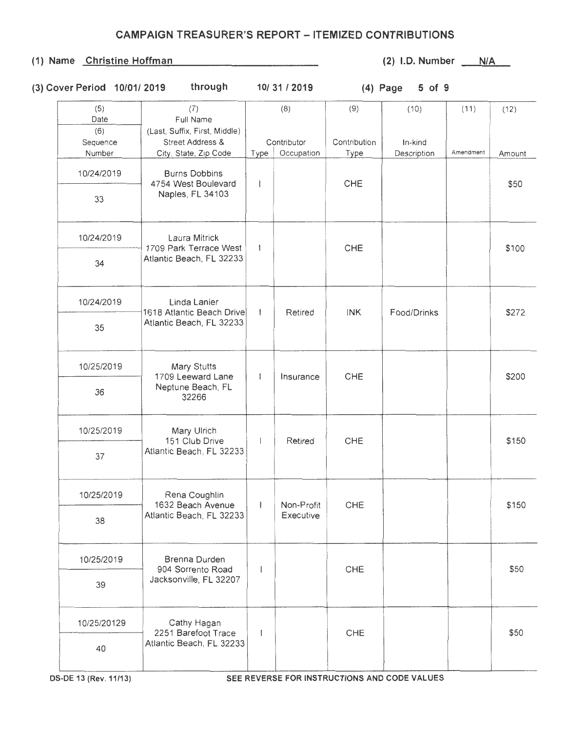| (3) Cover Period 10/01/2019 | through | 10/31/2019 | $(4)$ Page 5 of 9 |  |
|-----------------------------|---------|------------|-------------------|--|

| (5)<br>Date               | (7)<br>Full Name                                                           |                          | (8)                       | (9)                  | (10)                   | (11)      | (12)   |
|---------------------------|----------------------------------------------------------------------------|--------------------------|---------------------------|----------------------|------------------------|-----------|--------|
| (6)<br>Sequence<br>Number | (Last, Suffix, First, Middle)<br>Street Address &<br>City, State, Zip Code | Type                     | Contributor<br>Occupation | Contribution<br>Type | In-kind<br>Description | Amendment | Amount |
| 10/24/2019                | <b>Burns Dobbins</b><br>4754 West Boulevard                                | $\overline{\phantom{a}}$ |                           | CHE                  |                        |           | \$50   |
| 33                        | Naples, FL 34103                                                           |                          |                           |                      |                        |           |        |
| 10/24/2019                | Laura Mitrick<br>1709 Park Terrace West                                    | $\overline{1}$           |                           | CHE                  |                        |           | \$100  |
| 34                        | Atlantic Beach, FL 32233                                                   |                          |                           |                      |                        |           |        |
| 10/24/2019                | Linda Lanier<br>1618 Atlantic Beach Drive                                  | $\overline{1}$           | Retired                   | <b>INK</b>           | Food/Drinks            |           | \$272  |
| 35                        | Atlantic Beach, FL 32233                                                   |                          |                           |                      |                        |           |        |
| 10/25/2019                | Mary Stutts<br>1709 Leeward Lane                                           | $\mathbf{I}$             | Insurance                 | CHE                  |                        |           | \$200  |
| 36                        | Neptune Beach, FL<br>32266                                                 |                          |                           |                      |                        |           |        |
| 10/25/2019                | Mary Ulrich<br>151 Club Drive                                              | $\overline{1}$           | Retired                   | CHE                  |                        |           | \$150  |
| 37                        | Atlantic Beach, FL 32233                                                   |                          |                           |                      |                        |           |        |
| 10/25/2019                | Rena Coughlin<br>1632 Beach Avenue                                         | $\mathsf{l}$             | Non-Profit                | CHE                  |                        |           | \$150  |
| 38                        | Atlantic Beach, FL 32233                                                   |                          | Executive                 |                      |                        |           |        |
| 10/25/2019                | Brenna Durden<br>904 Sorrento Road                                         | $\mathbf{I}$             |                           | CHE                  |                        |           | \$50   |
| 39                        | Jacksonville, FL 32207                                                     |                          |                           |                      |                        |           |        |
| 10/25/20129               | Cathy Hagan<br>2251 Barefoot Trace                                         | $\mathbf{1}$             |                           | CHE                  |                        |           | \$50   |
| 40                        | Atlantic Beach, FL 32233                                                   |                          |                           |                      |                        |           |        |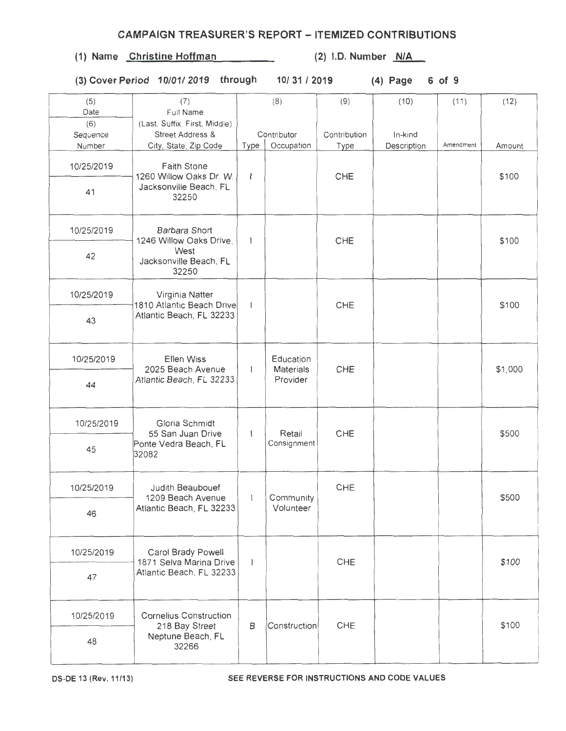(1) Name Christine Hoffman (2) I.D. Number N/A

(3) Cover Period 10/01/ 2019 through 10/31/2019 (4) Page 6 of 9

| 31 / 2019 |  |  |  |  |
|-----------|--|--|--|--|
|-----------|--|--|--|--|

| (5)             | (7)                                                          | (8)            |                               | (9)          | (10)        | (11)      | (12)    |
|-----------------|--------------------------------------------------------------|----------------|-------------------------------|--------------|-------------|-----------|---------|
| Date            | Full Name                                                    |                |                               |              |             |           |         |
| (6)<br>Sequence | (Last, Suffix, First, Middle)<br><b>Street Address &amp;</b> | Contributor    |                               | Contribution | In-kind     |           |         |
| Number          | City, State, Zip Code                                        | Type           | Occupation                    | Type         | Description | Amendment | Amount  |
| 10/25/2019      | <b>Faith Stone</b><br>1260 Willow Oaks Dr. W.                | $\mathbf{I}$   |                               | CHE          |             |           | \$100   |
| 41              | Jacksonville Beach, FL<br>32250                              |                |                               |              |             |           |         |
| 10/25/2019      | Barbara Short<br>1246 Willow Oaks Drive,                     | $\mathbf{1}$   |                               | CHE          |             |           | \$100   |
| 42              | West<br>Jacksonville Beach, FL<br>32250                      |                |                               |              |             |           |         |
| 10/25/2019      | Virginia Natter<br>1810 Atlantic Beach Drive                 | $\mathbf{I}$   |                               | CHE          |             |           | \$100   |
| 43              | Atlantic Beach, FL 32233                                     |                |                               |              |             |           |         |
| 10/25/2019      | Ellen Wiss<br>2025 Beach Avenue<br>Atlantic Beach, FL 32233  | $\mathbf{1}$   | Education<br><b>Materials</b> | CHE          |             |           | \$1,000 |
| 44              |                                                              |                | Provider                      |              |             |           |         |
| 10/25/2019      | Gloria Schmidt<br>55 San Juan Drive                          | $\overline{1}$ | Retail                        | CHE          |             |           | \$500   |
| 45              | Ponte Vedra Beach, FL<br>32082                               |                | Consignment                   |              |             |           |         |
| 10/25/2019      | Judith Beaubouef<br>1209 Beach Avenue                        | $\mathbf{I}$   | Community                     | CHE          |             |           | \$500   |
| 46              | Atlantic Beach, FL 32233                                     |                | Volunteer                     |              |             |           |         |
| 10/25/2019      | Carol Brady Powell<br>1871 Selva Marina Drive                | $\mathbf{1}$   |                               | CHE          |             |           | \$100   |
| 47              | Atlantic Beach, FL 32233                                     |                |                               |              |             |           |         |
| 10/25/2019      | <b>Cornelius Construction</b><br>218 Bay Street              | B              | Construction                  | CHE          |             |           | \$100   |
| 48              | Neptune Beach, FL<br>32266                                   |                |                               |              |             |           |         |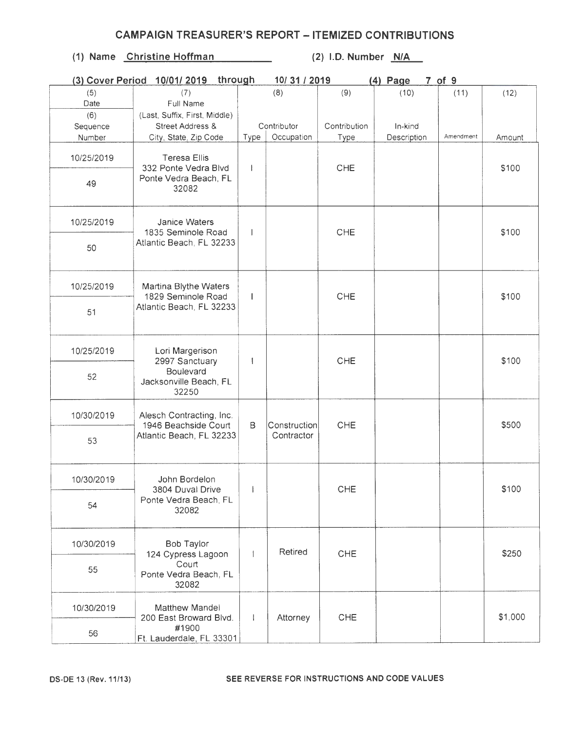|            | through<br>(3) Cover Period 10/01/2019                                            |              | 10/31/2019   |              | $(4)$ Page  | 7 of 9    |         |
|------------|-----------------------------------------------------------------------------------|--------------|--------------|--------------|-------------|-----------|---------|
| (5)        | (7)                                                                               |              | (8)          | (9)          | (10)        | (11)      | (12)    |
| Date       | Full Name                                                                         |              |              |              |             |           |         |
| (6)        | (Last, Suffix, First, Middle)                                                     |              |              |              |             |           |         |
| Sequence   | Street Address &                                                                  |              | Contributor  | Contribution | In-kind     |           |         |
| Number     | City, State, Zip Code                                                             | Type         | Occupation   | Type         | Description | Amendment | Amount  |
| 10/25/2019 | <b>Teresa Ellis</b><br>332 Ponte Vedra Blvd                                       |              |              | CHE          |             |           | \$100   |
| 49         | Ponte Vedra Beach, FL<br>32082                                                    |              |              |              |             |           |         |
| 10/25/2019 | <b>Janice Waters</b><br>1835 Seminole Road                                        |              |              | CHE          |             |           | \$100   |
| 50         | Atlantic Beach, FL 32233                                                          |              |              |              |             |           |         |
| 10/25/2019 | Martina Blythe Waters<br>1829 Seminole Road<br>Atlantic Beach, FL 32233           | $\mathbf{I}$ |              | <b>CHE</b>   |             |           | \$100   |
| 51         |                                                                                   |              |              |              |             |           |         |
| 10/25/2019 | Lori Margerison<br>2997 Sanctuary<br>Boulevard<br>Jacksonville Beach, FL<br>32250 |              |              | CHE          |             |           | \$100   |
| 52         |                                                                                   |              |              |              |             |           |         |
| 10/30/2019 | Alesch Contracting, Inc.<br>1946 Beachside Court                                  | B            | Construction | CHE          |             |           | \$500   |
| 53         | Atlantic Beach, FL 32233                                                          |              | Contractor   |              |             |           |         |
| 10/30/2019 | John Bordelon<br>3804 Duval Drive                                                 | $\mathbf{I}$ |              | CHE          |             |           | \$100   |
| 54         | Ponte Vedra Beach, FL<br>32082                                                    |              |              |              |             |           |         |
| 10/30/2019 | <b>Bob Taylor</b><br>124 Cypress Lagoon                                           |              | Retired      | CHE          |             |           | \$250   |
| 55         | Court<br>Ponte Vedra Beach, FL<br>32082                                           |              |              |              |             |           |         |
| 10/30/2019 | <b>Matthew Mandel</b><br>200 East Broward Blvd.                                   | $\mathbf{I}$ | Attorney     | CHE          |             |           | \$1,000 |
| 56         | #1900<br>Ft. Lauderdale, FL 33301                                                 |              |              |              |             |           |         |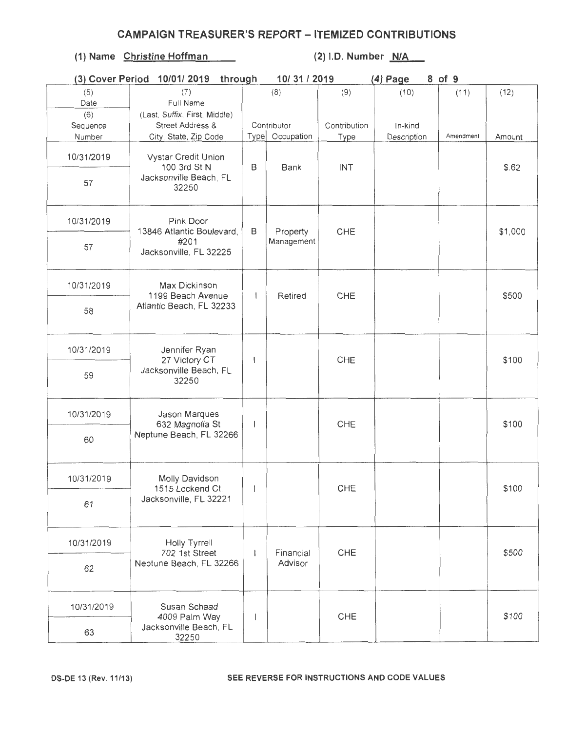| (3) Cover Period | 10/01/2019<br>through                  |                          | 10/31/2019      |              | $(4)$ Page  | 8 of 9    |         |
|------------------|----------------------------------------|--------------------------|-----------------|--------------|-------------|-----------|---------|
| (5)              | (7)                                    |                          | (8)             | (9)          | (10)        | (11)      | (12)    |
| Date             | Full Name                              |                          |                 |              |             |           |         |
| (6)              | (Last, Suffix, First, Middle)          |                          |                 |              |             |           |         |
| Sequence         | Street Address &                       |                          | Contributor     | Contribution | In-kind     |           |         |
| Number           | City, State, Zip Code                  |                          | Type Occupation | Type         | Description | Amendment | Amount  |
| 10/31/2019       | Vystar Credit Union<br>100 3rd St N    | B                        | Bank            | INT          |             |           | \$.62   |
| 57               | Jacksonville Beach, FL<br>32250        |                          |                 |              |             |           |         |
| 10/31/2019       | Pink Door<br>13846 Atlantic Boulevard, | B                        | Property        | CHE          |             |           | \$1,000 |
| 57               | #201<br>Jacksonville, FL 32225         | Management               |                 |              |             |           |         |
| 10/31/2019       | Max Dickinson<br>1199 Beach Avenue     | $\mathbf{I}$             | Retired         | CHE          |             |           | \$500   |
| 58               | Atlantic Beach, FL 32233               |                          |                 |              |             |           |         |
| 10/31/2019       | Jennifer Ryan<br>27 Victory CT         | $\overline{\phantom{a}}$ |                 | CHE          |             |           | \$100   |
| 59               | Jacksonville Beach, FL<br>32250        |                          |                 |              |             |           |         |
| 10/31/2019       | Jason Marques<br>632 Magnolia St       | $\overline{\phantom{a}}$ |                 | CHE          |             |           | \$100   |
| 60               | Neptune Beach, FL 32266                |                          |                 |              |             |           |         |
| 10/31/2019       | Molly Davidson<br>1515 Lockend Ct.     | $\mathbf{1}$             |                 | CHE          |             |           | \$100   |
| 61               | Jacksonville, FL 32221                 |                          |                 |              |             |           |         |
| 10/31/2019       | Holly Tyrrell<br>702 1st Street        | $\mathbf{I}$             | Financial       | CHE          |             |           | \$500   |
| 62               | Neptune Beach, FL 32266                |                          | Advisor         |              |             |           |         |
| 10/31/2019       | Susan Schaad<br>4009 Palm Way          |                          |                 | <b>CHE</b>   |             |           | \$100   |
| 63               | Jacksonville Beach, FL<br>32250        |                          |                 |              |             |           |         |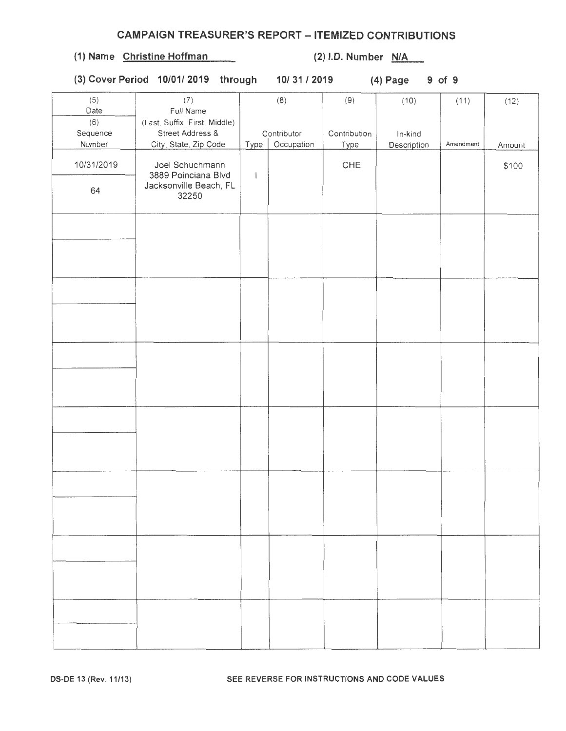# OS-DE 13 (Rev. 11/13) SEE REVERSE FOR INSTRUCTIONS AND CODE VALUES

# CAMPAIGN TREASURER'S REPORT - ITEMIZED CONTRIBUTIONS

# (1) Name Christine Hoffman (2) l.D. Number  $N/A$

(3) Cover Period 10/0112019 through 10/31/2019 (4) Page 9 of 9

| (5)<br>Date | (7)<br>Full Name              |              | (8)         | (9)          | (10)        | (11)      | (12)   |
|-------------|-------------------------------|--------------|-------------|--------------|-------------|-----------|--------|
| (6)         | (Last, Suffix, First, Middle) |              |             |              |             |           |        |
| Sequence    | Street Address &              |              | Contributor | Contribution | In-kind     |           |        |
| Number      | City, State, Zip Code         | Type         | Occupation  | Type         | Description | Amendment | Amount |
|             |                               |              |             |              |             |           |        |
| 10/31/2019  | Joel Schuchmann               |              |             | ${\sf CHE}$  |             |           | \$100  |
|             | 3889 Poinciana Blvd           | $\mathsf{I}$ |             |              |             |           |        |
|             | Jacksonville Beach, FL        |              |             |              |             |           |        |
| 64          | 32250                         |              |             |              |             |           |        |
|             |                               |              |             |              |             |           |        |
|             |                               |              |             |              |             |           |        |
|             |                               |              |             |              |             |           |        |
|             |                               |              |             |              |             |           |        |
|             |                               |              |             |              |             |           |        |
|             |                               |              |             |              |             |           |        |
|             |                               |              |             |              |             |           |        |
|             |                               |              |             |              |             |           |        |
|             |                               |              |             |              |             |           |        |
|             |                               |              |             |              |             |           |        |
|             |                               |              |             |              |             |           |        |
|             |                               |              |             |              |             |           |        |
|             |                               |              |             |              |             |           |        |
|             |                               |              |             |              |             |           |        |
|             |                               |              |             |              |             |           |        |
|             |                               |              |             |              |             |           |        |
|             |                               |              |             |              |             |           |        |
|             |                               |              |             |              |             |           |        |
|             |                               |              |             |              |             |           |        |
|             |                               |              |             |              |             |           |        |
|             |                               |              |             |              |             |           |        |
|             |                               |              |             |              |             |           |        |
|             |                               |              |             |              |             |           |        |
|             |                               |              |             |              |             |           |        |
|             |                               |              |             |              |             |           |        |
|             |                               |              |             |              |             |           |        |
|             |                               |              |             |              |             |           |        |
|             |                               |              |             |              |             |           |        |
|             |                               |              |             |              |             |           |        |
|             |                               |              |             |              |             |           |        |
|             |                               |              |             |              |             |           |        |
|             |                               |              |             |              |             |           |        |
|             |                               |              |             |              |             |           |        |
|             |                               |              |             |              |             |           |        |
|             |                               |              |             |              |             |           |        |
|             |                               |              |             |              |             |           |        |
|             |                               |              |             |              |             |           |        |
|             |                               |              |             |              |             |           |        |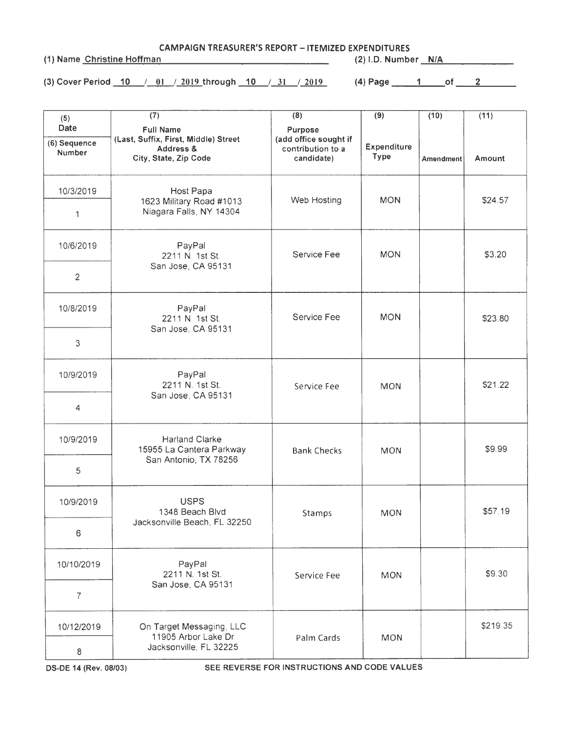CAMPAIGN TREASURER'S REPORT - ITEMIZED EXPENDITURES

(1) Name Christine Hoffman (2) I.D. Number N/A

(3) Cover Period 10 /\_O\_I \_ /-1!!!2...through 10 /\_31\_/-1.Ql2\_ (4) Page \_\_ \_,,1 \_\_ of \_ \_\_.2..\_\_ \_\_

| (5)                                          | (7)                                                                                            | (8)                                                                 | (9)                        | (10)      | (11)     |
|----------------------------------------------|------------------------------------------------------------------------------------------------|---------------------------------------------------------------------|----------------------------|-----------|----------|
| <b>Date</b><br>(6) Sequence<br><b>Number</b> | <b>Full Name</b><br>(Last, Suffix, First, Middle) Street<br>Address &<br>City, State, Zip Code | Purpose<br>(add office sought if<br>contribution to a<br>candidate) | <b>Expenditure</b><br>Type | Amendment | Amount   |
| 10/3/2019                                    | Host Papa<br>1623 Military Road #1013                                                          | Web Hosting                                                         | <b>MON</b>                 |           | \$24.57  |
| 1                                            | Niagara Falls, NY 14304                                                                        |                                                                     |                            |           |          |
| 10/6/2019                                    | PayPal<br>2211 N. 1st St.                                                                      | Service Fee                                                         | <b>MON</b>                 |           | \$3.20   |
| $\overline{c}$                               | San Jose, CA 95131                                                                             |                                                                     |                            |           |          |
| 10/8/2019                                    | PayPal<br>2211 N. 1st St.<br>San Jose, CA 95131                                                | Service Fee                                                         | <b>MON</b>                 |           | \$23.80  |
| 3                                            |                                                                                                |                                                                     |                            |           |          |
| 10/9/2019                                    | PayPal<br>2211 N. 1st St.                                                                      | Service Fee                                                         | <b>MON</b>                 |           | \$21.22  |
| $\overline{4}$                               | San Jose, CA 95131                                                                             |                                                                     |                            |           |          |
| 10/9/2019                                    | <b>Harland Clarke</b><br>15955 La Cantera Parkway                                              | <b>Bank Checks</b>                                                  | <b>MON</b>                 |           | \$9.99   |
| 5                                            | San Antonio, TX 78256                                                                          |                                                                     |                            |           |          |
| 10/9/2019                                    | <b>USPS</b><br>1348 Beach Blvd                                                                 | Stamps                                                              | <b>MON</b>                 |           | \$57.19  |
| 6                                            | Jacksonville Beach, FL 32250                                                                   |                                                                     |                            |           |          |
| 10/10/2019                                   | PayPal<br>2211 N. 1st St.                                                                      | Service Fee                                                         | <b>MON</b>                 |           | \$9.30   |
| $\overline{7}$                               | San Jose, CA 95131                                                                             |                                                                     |                            |           |          |
| 10/12/2019                                   | On Target Messaging, LLC<br>11905 Arbor Lake Dr                                                | Palm Cards                                                          | <b>MON</b>                 |           | \$219.35 |
| 8                                            | Jacksonville, FL 32225                                                                         |                                                                     |                            |           |          |

OS-DE 14 (Rev. 08/03) SEE REVERSE FOR INSTRUCTIONS AND CODE VALUES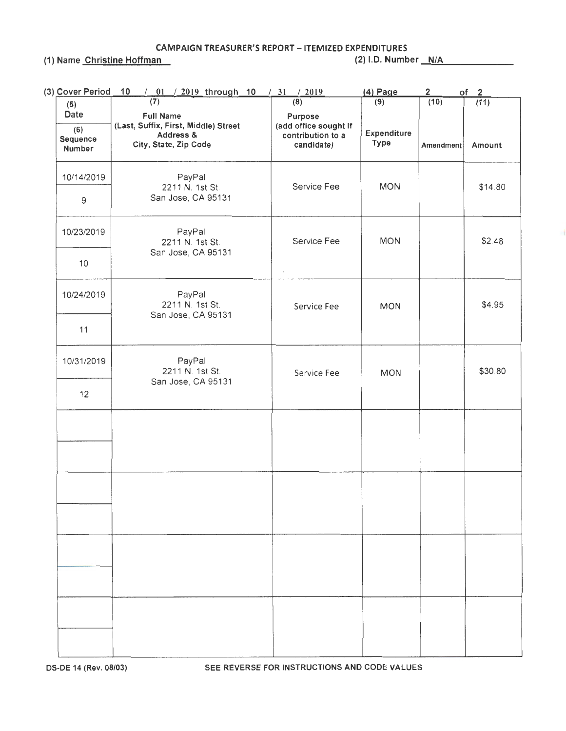CAMPAIGN TREASURER'S REPORT - ITEMIZED EXPENDITURES (1) Name Christine Hoffman (2) 1.0. Number \_\_\_ N ..... /A....\_ \_\_\_\_ \_

| (3) Cover Period                  | $/$ 01 $/$ 2019 through 10<br>10                                                               | $\frac{1}{31}$ $\frac{2019}{2019}$                                  | (4) Page            | $\mathbf{2}$ | of 2    |
|-----------------------------------|------------------------------------------------------------------------------------------------|---------------------------------------------------------------------|---------------------|--------------|---------|
| (5)                               | (7)                                                                                            | (8)                                                                 | (9)                 | (10)         | (11)    |
| Date<br>(6)<br>Sequence<br>Number | <b>Full Name</b><br>(Last, Suffix, First, Middle) Street<br>Address &<br>City, State, Zip Code | Purpose<br>(add office sought if<br>contribution to a<br>candidate) | Expenditure<br>Type | Amendment    | Amount  |
| 10/14/2019                        | PayPal<br>2211 N. 1st St.                                                                      | Service Fee                                                         | <b>MON</b>          |              | \$14.80 |
| 9                                 | San Jose, CA 95131                                                                             |                                                                     |                     |              |         |
| 10/23/2019                        | PayPal<br>2211 N. 1st St.<br>San Jose, CA 95131                                                | Service Fee                                                         | <b>MON</b>          |              | \$2.48  |
| 10                                |                                                                                                | ä,                                                                  |                     |              |         |
| 10/24/2019                        | PayPal<br>2211 N. 1st St.<br>San Jose, CA 95131                                                | Service Fee                                                         | <b>MON</b>          |              | \$4.95  |
| 11                                |                                                                                                |                                                                     |                     |              |         |
| 10/31/2019                        | PayPal<br>2211 N. 1st St.<br>San Jose, CA 95131                                                | Service Fee                                                         | <b>MON</b>          |              | \$30.80 |
| 12                                |                                                                                                |                                                                     |                     |              |         |
|                                   |                                                                                                |                                                                     |                     |              |         |
|                                   |                                                                                                |                                                                     |                     |              |         |
|                                   |                                                                                                |                                                                     |                     |              |         |
|                                   |                                                                                                |                                                                     |                     |              |         |
|                                   |                                                                                                |                                                                     |                     |              |         |
|                                   |                                                                                                |                                                                     |                     |              |         |
|                                   |                                                                                                |                                                                     |                     |              |         |
|                                   |                                                                                                |                                                                     |                     |              |         |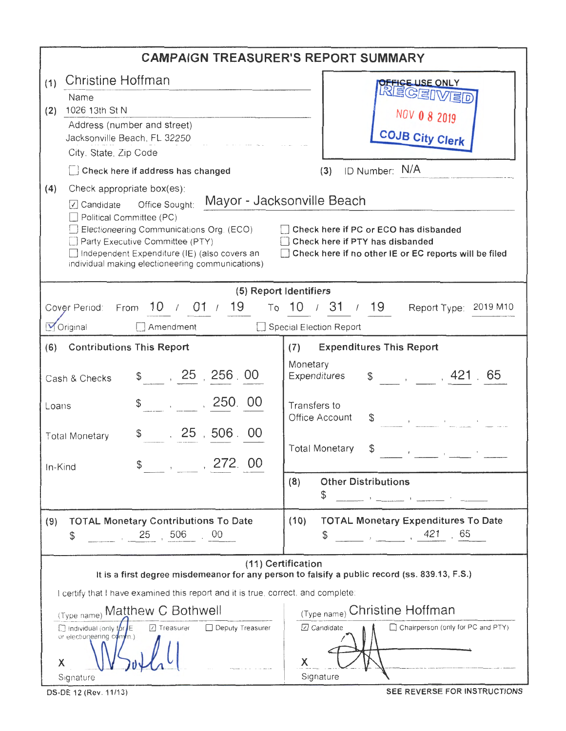|                                                                                                                                                                                                                                                                                                                                                                                                                  | <b>CAMPAIGN TREASURER'S REPORT SUMMARY</b>                                                                          |  |  |  |  |  |  |  |  |
|------------------------------------------------------------------------------------------------------------------------------------------------------------------------------------------------------------------------------------------------------------------------------------------------------------------------------------------------------------------------------------------------------------------|---------------------------------------------------------------------------------------------------------------------|--|--|--|--|--|--|--|--|
| Christine Hoffman<br>(1)                                                                                                                                                                                                                                                                                                                                                                                         | <b>JEFIGE USE ONLY</b>                                                                                              |  |  |  |  |  |  |  |  |
| Name<br>1026 13th St N<br>(2)                                                                                                                                                                                                                                                                                                                                                                                    | REGEIVED                                                                                                            |  |  |  |  |  |  |  |  |
| Address (number and street)                                                                                                                                                                                                                                                                                                                                                                                      | NOV 0 8 2019                                                                                                        |  |  |  |  |  |  |  |  |
| Jacksonville Beach, FL 32250                                                                                                                                                                                                                                                                                                                                                                                     | <b>COJB City Clerk</b>                                                                                              |  |  |  |  |  |  |  |  |
| City, State, Zip Code<br>Check here if address has changed                                                                                                                                                                                                                                                                                                                                                       | ID Number: N/A<br>(3)                                                                                               |  |  |  |  |  |  |  |  |
| (4)<br>Check appropriate box(es):                                                                                                                                                                                                                                                                                                                                                                                |                                                                                                                     |  |  |  |  |  |  |  |  |
| Mayor - Jacksonville Beach<br>○ Candidate Office Sought:<br>Political Committee (PC)<br>Electioneering Communications Org. (ECO)<br>  Check here if PC or ECO has disbanded<br>Check here if PTY has disbanded<br>Party Executive Committee (PTY)<br>Independent Expenditure (IE) (also covers an<br>□ Check here if no other IE or EC reports will be filed<br>individual making electioneering communications) |                                                                                                                     |  |  |  |  |  |  |  |  |
| (5) Report Identifiers                                                                                                                                                                                                                                                                                                                                                                                           |                                                                                                                     |  |  |  |  |  |  |  |  |
| Cover Period: From 10 / 01 / 19 To 10 / 31 / 19 Report Type: 2019 M10                                                                                                                                                                                                                                                                                                                                            |                                                                                                                     |  |  |  |  |  |  |  |  |
| Original<br>Special Election Report<br>Amendment                                                                                                                                                                                                                                                                                                                                                                 |                                                                                                                     |  |  |  |  |  |  |  |  |
| (6) Contributions This Report                                                                                                                                                                                                                                                                                                                                                                                    | <b>Expenditures This Report</b><br>(7)                                                                              |  |  |  |  |  |  |  |  |
| \$30, 25, 256, 00<br>Cash & Checks                                                                                                                                                                                                                                                                                                                                                                               | Monetary<br>Expenditures \$, 421, 65                                                                                |  |  |  |  |  |  |  |  |
| $\frac{1}{2}$ , 250.00<br>Loans                                                                                                                                                                                                                                                                                                                                                                                  | Transfers to<br>Office Account                                                                                      |  |  |  |  |  |  |  |  |
| $$3 \t 25, 506.00$<br><b>Total Monetary</b>                                                                                                                                                                                                                                                                                                                                                                      | <b>Total Monetary</b><br>\$<br>$\overline{\phantom{a}}$                                                             |  |  |  |  |  |  |  |  |
| , 272, 00<br>\$<br>In-Kind                                                                                                                                                                                                                                                                                                                                                                                       |                                                                                                                     |  |  |  |  |  |  |  |  |
|                                                                                                                                                                                                                                                                                                                                                                                                                  | <b>Other Distributions</b><br>(8)<br>\$<br>and the control of the companion of the                                  |  |  |  |  |  |  |  |  |
| <b>TOTAL Monetary Contributions To Date</b><br>(9)<br>506<br>25<br>.00<br>\$                                                                                                                                                                                                                                                                                                                                     | <b>TOTAL Monetary Expenditures To Date</b><br>(10)<br>$\frac{1}{2}$ , $\frac{1}{2}$ , 421 65<br>S                   |  |  |  |  |  |  |  |  |
|                                                                                                                                                                                                                                                                                                                                                                                                                  | (11) Certification<br>It is a first degree misdemeanor for any person to falsify a public record (ss. 839.13, F.S.) |  |  |  |  |  |  |  |  |
| I certify that I have examined this report and it is true, correct, and complete:                                                                                                                                                                                                                                                                                                                                |                                                                                                                     |  |  |  |  |  |  |  |  |
| (Type rame) Matthew C Bothwell                                                                                                                                                                                                                                                                                                                                                                                   | (Type name) Christine Hoffman                                                                                       |  |  |  |  |  |  |  |  |
| ☑ Treasurer □ Deputy Treasurer<br>Indivdual (only for E<br>or electioneering comme.)<br>Х<br>Signature                                                                                                                                                                                                                                                                                                           | □ Candidate<br>Chairperson (only for PC and PTY)<br>X<br>Signature                                                  |  |  |  |  |  |  |  |  |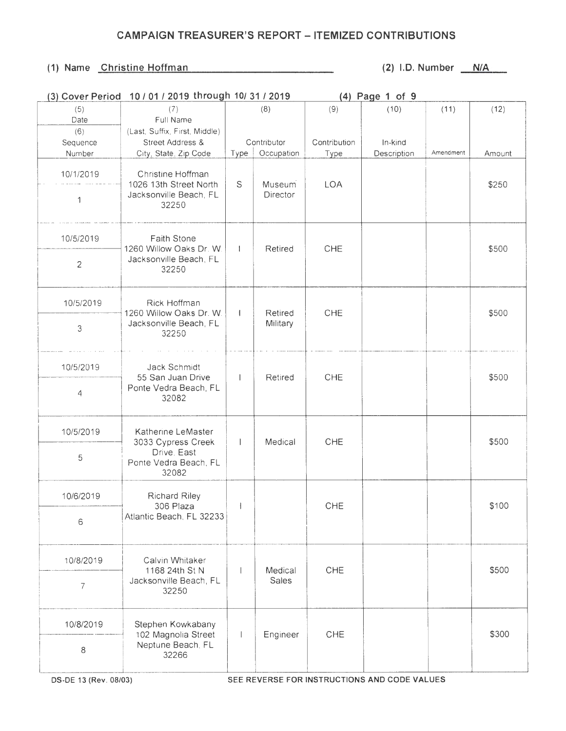| (3) Cover Period | 10 / 01 / 2019 through 10/ 31 / 2019              | (4) Page 1 of 9 |             |              |             |           |        |
|------------------|---------------------------------------------------|-----------------|-------------|--------------|-------------|-----------|--------|
| (5)              | (7)                                               |                 | (8)         | (9)          | (10)        | (11)      | (12)   |
| Date             | Full Name                                         |                 |             |              |             |           |        |
| (6)              | (Last, Suffix, First, Middle)                     |                 |             |              |             |           |        |
| Sequence         | Street Address &                                  |                 | Contributor | Contribution | In-kind     |           |        |
| Number           | City, State, Zip Code                             | Type            | Occupation  | Type         | Description | Amendment | Amount |
|                  |                                                   |                 |             |              |             |           |        |
| 10/1/2019        | Christine Hoffman                                 |                 |             |              |             |           |        |
|                  | 1026 13th Street North                            | S               | Museum      | LOA          |             |           | \$250  |
| 1                | Jacksonville Beach, FL                            |                 | Director    |              |             |           |        |
|                  | 32250                                             |                 |             |              |             |           |        |
|                  |                                                   |                 |             |              |             |           |        |
|                  |                                                   |                 |             |              |             |           |        |
| 10/5/2019        | <b>Faith Stone</b>                                |                 |             |              |             |           |        |
|                  | 1260 Willow Oaks Dr. W.                           |                 | Retired     | CHE          |             |           | \$500  |
| $\overline{c}$   | Jacksonville Beach, FL                            |                 |             |              |             |           |        |
|                  | 32250                                             |                 |             |              |             |           |        |
|                  |                                                   |                 |             |              |             |           |        |
|                  |                                                   |                 |             |              |             |           |        |
| 10/5/2019        | Rick Hoffman                                      |                 |             |              |             |           |        |
|                  | 1260 Willow Oaks Dr. W.<br>Jacksonville Beach, FL | $\mathbf{1}$    | Retired     | CHE          |             |           | \$500  |
| 3                | 32250                                             |                 | Military    |              |             |           |        |
|                  |                                                   |                 |             |              |             |           |        |
|                  |                                                   |                 |             |              |             |           |        |
| 10/5/2019        | Jack Schmidt                                      |                 |             |              |             |           |        |
|                  | 55 San Juan Drive                                 | $\mathbf{I}$    | Retired     | CHE          |             |           | \$500  |
|                  | Ponte Vedra Beach, FL                             |                 |             |              |             |           |        |
| 4                | 32082                                             |                 |             |              |             |           |        |
|                  |                                                   |                 |             |              |             |           |        |
|                  |                                                   |                 |             |              |             |           |        |
| 10/5/2019        | Katherine LeMaster                                |                 |             |              |             |           |        |
|                  | 3033 Cypress Creek                                | $\mathbf{I}$    | Medical     | CHE          |             |           | \$500  |
| 5                | Drive, East                                       |                 |             |              |             |           |        |
|                  | Ponte Vedra Beach, FL                             |                 |             |              |             |           |        |
|                  | 32082                                             |                 |             |              |             |           |        |
|                  |                                                   |                 |             |              |             |           |        |
| 10/6/2019        | <b>Richard Riley</b>                              |                 |             |              |             |           |        |
|                  | 306 Plaza                                         |                 |             | CHE          |             |           | \$100  |
| 6                | Atlantic Beach, FL 32233                          |                 |             |              |             |           |        |
|                  |                                                   |                 |             |              |             |           |        |
|                  |                                                   |                 |             |              |             |           |        |
| 10/8/2019        | Calvin Whitaker                                   |                 |             |              |             |           |        |
|                  | 1168 24th St N                                    |                 | Medical     | CHE          |             |           | \$500  |
|                  | Jacksonville Beach, FL                            |                 | Sales       |              |             |           |        |
| $\overline{7}$   | 32250                                             |                 |             |              |             |           |        |
|                  |                                                   |                 |             |              |             |           |        |
|                  |                                                   |                 |             |              |             |           |        |
| 10/8/2019        | Stephen Kowkabany                                 |                 |             |              |             |           |        |
|                  | 102 Magnolia Street                               | $\mathsf{I}$    | Engineer    | CHE          |             |           | \$300  |
| 8                | Neptune Beach, FL                                 |                 |             |              |             |           |        |
|                  | 32266                                             |                 |             |              |             |           |        |
|                  |                                                   |                 |             |              |             |           |        |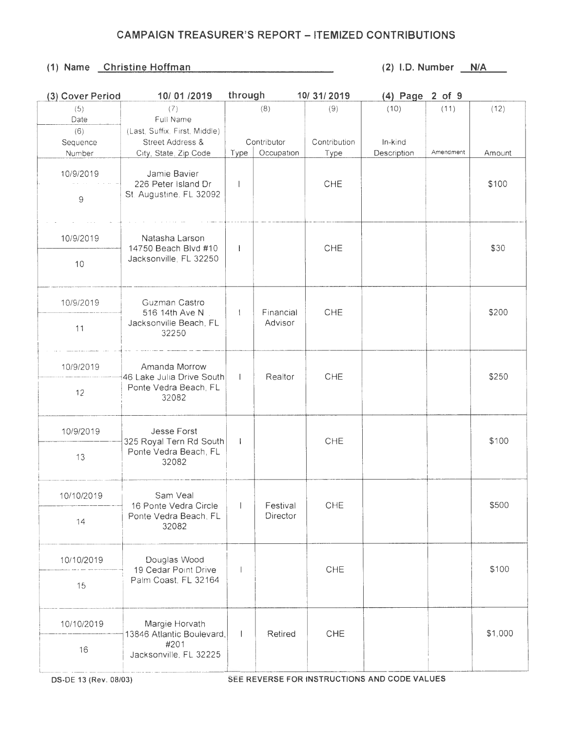#### **(1) Name Christine Hoffman (2) l.D. Number N/A**

| (3) Cover Period | 10/01/2019                                                         | through        |             | 10/31/2019   | (4) Page 2 of 9 |           |         |
|------------------|--------------------------------------------------------------------|----------------|-------------|--------------|-----------------|-----------|---------|
| (5)              | (7)                                                                |                | (8)         | (9)          | (10)            | (11)      | (12)    |
| Date             | Full Name                                                          |                |             |              |                 |           |         |
| (6)              | (Last, Suffix, First, Middle)                                      |                |             |              |                 |           |         |
| Sequence         | Street Address &                                                   |                | Contributor | Contribution | In-kind         |           |         |
| Number           | City, State, Zip Code                                              | Type           | Occupation  | Type         | Description     | Amendment | Amount  |
| 10/9/2019<br>9   | Jamie Bavier<br>226 Peter Island Dr<br>St. Augustine, FL 32092     |                |             | <b>CHE</b>   |                 |           | \$100   |
| 10/9/2019        | Natasha Larson<br>14750 Beach Blvd #10<br>Jacksonville, FL 32250   | -1             |             | CHE          |                 |           | \$30    |
| 10               |                                                                    |                |             |              |                 |           |         |
| 10/9/2019        | Guzman Castro<br>516 14th Ave N<br>Jacksonville Beach, FL<br>32250 |                | Financial   | CHE          |                 |           | \$200   |
| 11               |                                                                    |                | Advisor     |              |                 |           |         |
| 10/9/2019        | Amanda Morrow<br>46 Lake Julia Drive South                         | $\mathbf{L}$   | Realtor     | CHE          |                 |           | \$250   |
| 12               | Ponte Vedra Beach, FL<br>32082                                     |                |             |              |                 |           |         |
| 10/9/2019        | Jesse Forst<br>325 Royal Tern Rd South                             | J.             |             | CHE          |                 |           | \$100   |
| 13               | Ponte Vedra Beach, FL<br>32082                                     |                |             |              |                 |           |         |
| 10/10/2019       | Sam Veal<br>16 Ponte Vedra Circle                                  | $-1$           | Festival    | CHE          |                 |           | \$500   |
| 14               | Ponte Vedra Beach, FL<br>32082                                     |                | Director    |              |                 |           |         |
| 10/10/2019       | Douglas Wood<br>19 Cedar Point Drive                               | $\overline{1}$ |             | CHE          |                 |           | \$100   |
| 15               | Palm Coast, FL 32164                                               |                |             |              |                 |           |         |
| 10/10/2019       | Margie Horvath<br>13846 Atlantic Boulevard,                        | -1             | Retired     | CHE          |                 |           | \$1,000 |
| 16               | #201<br>Jacksonville, FL 32225                                     |                |             |              |                 |           |         |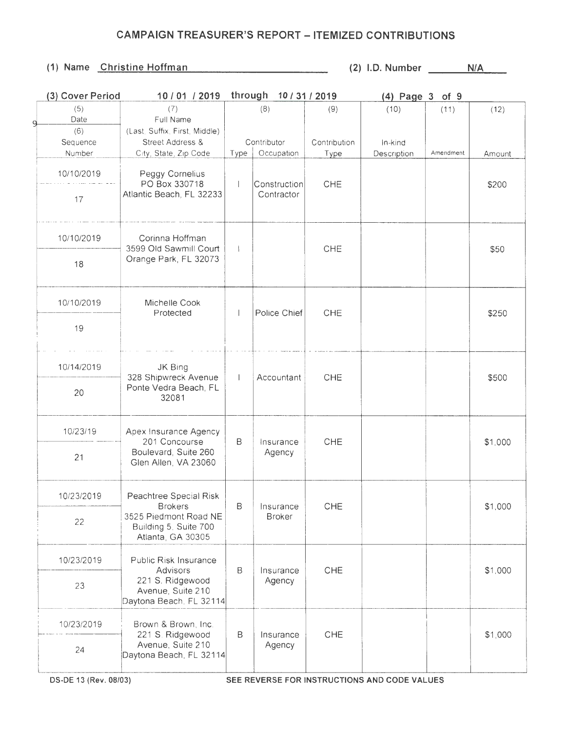| (3) Cover Period      | 10 / 01 / 2019                                                      |              | through 10/31/2019 |              | $(4)$ Page 3 of 9                            |           |         |
|-----------------------|---------------------------------------------------------------------|--------------|--------------------|--------------|----------------------------------------------|-----------|---------|
| (5)                   | (7)                                                                 |              | (8)                | (9)          | (10)                                         | (11)      | (12)    |
| Date<br>q             | Full Name                                                           |              |                    |              |                                              |           |         |
| (6)                   | (Last, Suffix, First, Middle)                                       |              |                    |              |                                              |           |         |
| Sequence              | Street Address &                                                    |              | Contributor        | Contribution | In-kind                                      |           |         |
| Number                | City, State, Zip Code                                               | Type         | Occupation         | Type         | Description                                  | Amendment | Amount  |
| 10/10/2019            | Peggy Cornelius<br>PO Box 330718                                    | $\mathbf{I}$ | Construction       | CHE          |                                              |           | \$200   |
| 17                    | Atlantic Beach, FL 32233                                            |              | Contractor         |              |                                              |           |         |
| 10/10/2019            | Corinna Hoffman<br>3599 Old Sawmill Court                           | $\mathbf{I}$ |                    | CHE          |                                              |           | \$50    |
| 18                    | Orange Park, FL 32073                                               |              |                    |              |                                              |           |         |
| 10/10/2019            | Michelle Cook<br>Protected                                          |              | Police Chief       | <b>CHE</b>   |                                              |           | \$250   |
| 19                    |                                                                     |              |                    |              |                                              |           |         |
| 10/14/2019            | JK Bing<br>328 Shipwreck Avenue                                     |              | Accountant         | CHE          |                                              |           | \$500   |
| 20                    | Ponte Vedra Beach, FL<br>32081                                      |              |                    |              |                                              |           |         |
| 10/23/19              | Apex Insurance Agency<br>201 Concourse                              | В            | Insurance          | CHE          |                                              |           | \$1,000 |
| 21                    | Boulevard, Suite 260<br>Glen Allen, VA 23060                        |              | Agency             |              |                                              |           |         |
| 10/23/2019            | Peachtree Special Risk<br><b>Brokers</b>                            | B            | Insurance          | CHE          |                                              |           |         |
| 22                    | 3525 Piedmont Road NE<br>Building 5, Suite 700<br>Atlanta, GA 30305 |              | <b>Broker</b>      |              |                                              |           | \$1,000 |
| 10/23/2019            | Public Risk Insurance<br>Advisors                                   | B            | Insurance          | <b>CHE</b>   |                                              |           | \$1,000 |
| 23                    | 221 S. Ridgewood<br>Avenue, Suite 210<br>Daytona Beach, FL 32114    |              | Agency             |              |                                              |           |         |
| 10/23/2019            | Brown & Brown, Inc.<br>221 S. Ridgewood                             | B            | Insurance          | <b>CHE</b>   |                                              |           | \$1,000 |
| 24                    | Avenue, Suite 210<br>Daytona Beach, FL 32114                        |              | Agency             |              |                                              |           |         |
| DS-DE 13 (Rev. 08/03) |                                                                     |              |                    |              | SEE REVERSE FOR INSTRUCTIONS AND CODE VALUES |           |         |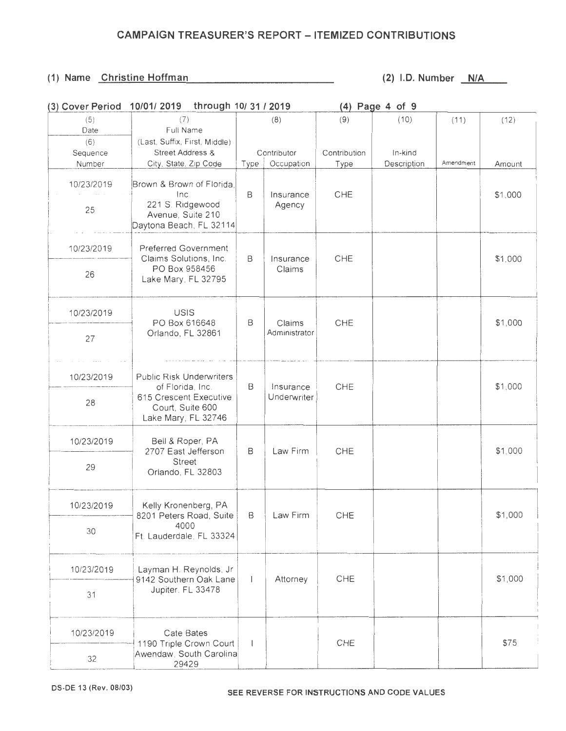| (3) Cover Period          | 10/01/2019 through 10/31 / 2019                                                                      |                          |                           |                      | (4) Page 4 of 9        |           |         |
|---------------------------|------------------------------------------------------------------------------------------------------|--------------------------|---------------------------|----------------------|------------------------|-----------|---------|
| (5)<br>Date               | (7)<br>Full Name                                                                                     |                          | (8)                       | (9)                  | (10)                   | (11)      | (12)    |
| (6)<br>Sequence<br>Number | (Last, Suffix, First, Middle)<br>Street Address &<br>City, State, Zip Code                           | Type                     | Contributor<br>Occupation | Contribution<br>Type | In-kind<br>Description | Amendment | Amount  |
| 10/23/2019<br>25          | Brown & Brown of Florida,<br>Inc<br>221 S. Ridgewood<br>Avenue, Suite 210<br>Daytona Beach, FL 32114 | $\mathsf B$              | Insurance<br>Agency       | CHE                  |                        |           | \$1,000 |
| 10/23/2019                | Preferred Government<br>Claims Solutions, Inc.                                                       | B                        | Insurance                 | CHE                  |                        |           | \$1,000 |
| 26                        | PO Box 958456<br>Lake Mary, FL 32795                                                                 |                          | Claims                    |                      |                        |           |         |
| 10/23/2019                | USIS                                                                                                 | В                        | Claims                    | CHE                  |                        |           | \$1,000 |
| 27                        | PO Box 616648<br>Orlando, FL 32861                                                                   |                          | Administrator             |                      |                        |           |         |
| 10/23/2019                | <b>Public Risk Underwriters</b><br>of Florida, Inc.                                                  | B                        | Insurance                 | CHE                  |                        |           | \$1,000 |
| 28                        | 615 Crescent Executive<br>Court, Suite 600<br>Lake Mary, FL 32746                                    |                          | Underwriter               |                      |                        |           |         |
| 10/23/2019                | Bell & Roper, PA<br>2707 East Jefferson                                                              | B                        | Law Firm                  | <b>CHE</b>           |                        |           | \$1,000 |
| 29                        | <b>Street</b><br>Orlando, FL 32803                                                                   |                          |                           |                      |                        |           |         |
| 10/23/2019                | Kelly Kronenberg, PA<br>8201 Peters Road, Suite                                                      | B                        | Law Firm                  | CHE                  |                        |           | \$1,000 |
| 30                        | 4000<br>Ft. Lauderdale, FL 33324                                                                     |                          |                           |                      |                        |           |         |
| 10/23/2019                | Layman H. Reynolds, Jr<br>9142 Southern Oak Lane                                                     | $\overline{1}$           | Attorney                  | CHE                  |                        |           | \$1,000 |
| 31                        | Jupiter, FL 33478                                                                                    |                          |                           |                      |                        |           |         |
| 10/23/2019                | Cate Bates<br>1190 Triple Crown Court                                                                | $\overline{\phantom{a}}$ |                           | CHE                  |                        |           | \$75    |
| 32                        | Awendaw, South Carolina<br>29429                                                                     |                          |                           |                      |                        |           |         |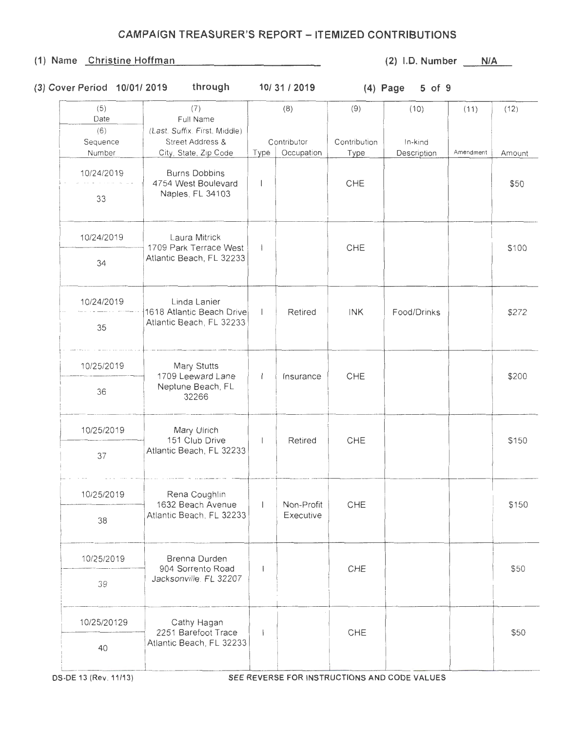#### (1) Name Christine Hoffman (2) I.D. Number N/A

## **(3) Cover Period 10/01/ 2019 through 10/ 31 I 2019 (4) Page 5 of 9**

| (5)<br>Date        | (7)<br>Full Name                                  |                | (8)         | (9)          | (10)        | (11)      | (12)   |
|--------------------|---------------------------------------------------|----------------|-------------|--------------|-------------|-----------|--------|
| (6)                | (Last, Suffix, First, Middle)<br>Street Address & |                | Contributor | Contribution | In-kind     |           |        |
| Sequence<br>Number | City, State, Zip Code                             | Type           | Occupation  | Type         | Description | Amendment | Amount |
| 10/24/2019         | <b>Burns Dobbins</b><br>4754 West Boulevard       | $\mathbf{I}$   |             | CHE          |             |           | \$50   |
| 33                 | Naples, FL 34103                                  |                |             |              |             |           |        |
| 10/24/2019         | Laura Mitrick<br>1709 Park Terrace West           |                |             | CHE          |             |           | \$100  |
| 34                 | Atlantic Beach, FL 32233                          | $\mathbf{1}$   |             |              |             |           |        |
| 10/24/2019         | Linda Lanier<br>1618 Atlantic Beach Drive         |                | Retired     | <b>INK</b>   | Food/Drinks |           | \$272  |
| 35                 | Atlantic Beach, FL 32233                          |                |             |              |             |           |        |
| 10/25/2019         | Mary Stutts<br>1709 Leeward Lane                  | $\mathsf{I}$   | Insurance   | CHE          |             |           | \$200  |
| 36                 | Neptune Beach, FL<br>32266                        |                |             |              |             |           |        |
| 10/25/2019         | Mary Ulrich<br>151 Club Drive                     | $\overline{1}$ | Retired     | CHE          |             |           | \$150  |
| 37                 | Atlantic Beach, FL 32233                          |                |             |              |             |           |        |
| 10/25/2019         | Rena Coughlin<br>1632 Beach Avenue                | $\mathbf{I}$   | Non-Profit  | CHE          |             |           | \$150  |
| 38                 | Atlantic Beach, FL 32233                          |                | Executive   |              |             |           |        |
| 10/25/2019         | Brenna Durden<br>904 Sorrento Road                | $\overline{1}$ |             | CHE          |             |           | \$50   |
| 39                 | Jacksonville. FL 32207                            |                |             |              |             |           |        |
| 10/25/20129        | Cathy Hagan<br>2251 Barefoot Trace                | $\mathbf{I}$   |             | CHE          |             |           | \$50   |
| 40                 | Atlantic Beach, FL 32233                          |                |             |              |             |           |        |
|                    |                                                   |                |             |              |             |           |        |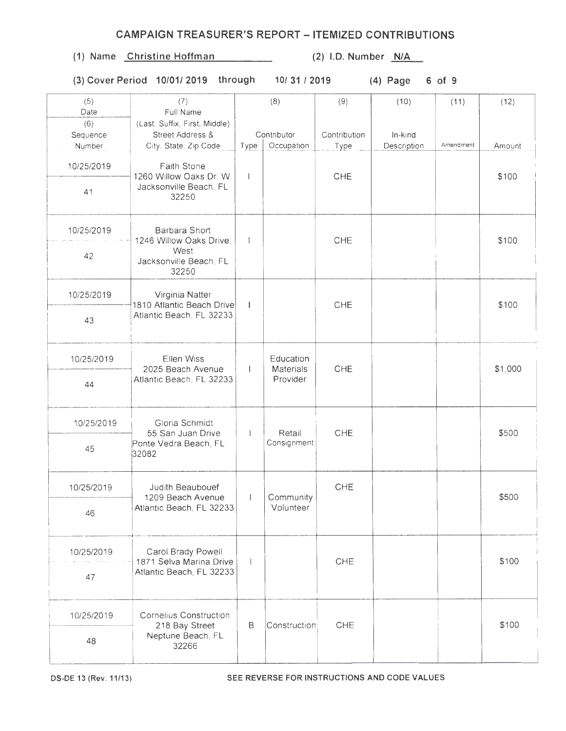| 10/25/2019<br>41 | Faith Stone<br>1260 Willow Oaks Dr. W.<br>Jacksonville Beach, FL<br>32250           | $\mathbf{I}$             |                           | CHE        |  | \$100   |
|------------------|-------------------------------------------------------------------------------------|--------------------------|---------------------------|------------|--|---------|
| 10/25/2019<br>42 | Barbara Short<br>1246 Willow Oaks Drive.<br>West<br>Jacksonville Beach, FL<br>32250 | $\mathbf{I}$             |                           | CHE        |  | \$100   |
| 10/25/2019       | Virginia Natter<br>1810 Atlantic Beach Drive                                        | $\mathbf{I}$             |                           | CHE        |  | \$100   |
| 43               | Atlantic Beach, FL 32233                                                            |                          |                           |            |  |         |
| 10/25/2019       | Ellen Wiss<br>2025 Beach Avenue                                                     | $\mathbf{1}$             | Education<br>Materials    | CHE        |  | \$1,000 |
| 44               | Atlantic Beach, FL 32233                                                            |                          | Provider                  |            |  |         |
| 10/25/2019       | Gloria Schmidt<br>55 San Juan Drive                                                 |                          | Retail                    | CHE        |  | \$500   |
| 45               | Ponte Vedra Beach, FL<br>32082                                                      |                          | Consignment               |            |  |         |
| 10/25/2019       | Judith Beaubouef<br>1209 Beach Avenue                                               | $\mathbf{I}$             | Community                 | CHE        |  | \$500   |
| 46               | Atlantic Beach, FL 32233                                                            |                          | Volunteer                 |            |  |         |
| 10/25/2019       | Carol Brady Powell<br>1871 Selva Marina Drive                                       | $\overline{\phantom{a}}$ |                           | <b>CHE</b> |  | \$100   |
| 47               | Atlantic Beach, FL 32233                                                            |                          |                           |            |  |         |
| 10/25/2019       | Cornelius Construction<br>218 Bay Street                                            | $\mathsf B$              | Construction <sup>®</sup> | CHE        |  | \$100   |
| 48               | Neptune Beach, FL<br>32266                                                          |                          |                           |            |  |         |

**(1) Name Christine Hoffman (2) l.D. Number N/A** 

(6) (Last, Suffix, First, Middle)

Date Full Name

Number | City, State Zip Code | Type | Occupation

**OS-DE** 13 (Rev . **11/13) SEE REVERSE FOR INSTRUCTIONS AND CODE VALUES** 

**(3) Cover Period 10/01/ 2019 through 10/31/2019 (4) Page 6 of 9** 

Type Description Amendment Amount

## **CAMPAIGN TREASURER'S REPORT - ITEMIZED CONTRIBUTIONS**

(5) (7) (8) (9) (10) ( 11) (12)

Sequence Street Address & Contributor Contribution In-kind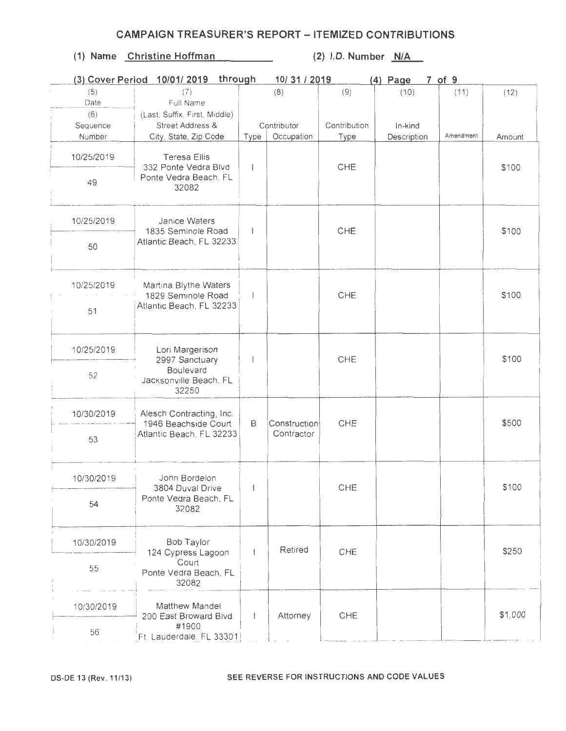|            | through<br>(3) Cover Period 10/01/2019<br>10/31/2019<br>$7$ of $9$<br>$(4)$ Page |                          |              |              |             |           |         |  |
|------------|----------------------------------------------------------------------------------|--------------------------|--------------|--------------|-------------|-----------|---------|--|
| (5)        | (7)                                                                              |                          | (8)          | (9)          | (10)        | (11)      | (12)    |  |
| Date       | Full Name                                                                        |                          |              |              |             |           |         |  |
| (6)        | (Last, Suffix, First, Middle)                                                    |                          |              |              |             |           |         |  |
| Sequence   | Street Address &                                                                 |                          | Contributor  | Contribution | In-kind     |           |         |  |
| Number     | City, State, Zip Code                                                            | Type                     | Occupation   | Type         | Description | Amendment | Amount  |  |
| 10/25/2019 | <b>Teresa Ellis</b><br>332 Ponte Vedra Blvd                                      |                          |              | CHE          |             |           | \$100   |  |
| 49         | Ponte Vedra Beach, FL<br>32082                                                   |                          |              |              |             |           |         |  |
| 10/25/2019 | Janice Waters<br>1835 Seminole Road                                              |                          |              | CHE          |             |           | \$100   |  |
| 50         | Atlantic Beach, FL 32233                                                         |                          |              |              |             |           |         |  |
| 10/25/2019 | Martina Blythe Waters<br>1829 Seminole Road<br>Atlantic Beach, FL 32233          |                          |              | CHE          |             |           | \$100   |  |
| 51         |                                                                                  |                          |              |              |             |           |         |  |
| 10/25/2019 | Lori Margerison<br>2997 Sanctuary                                                |                          |              | CHE          |             |           | \$100   |  |
| 52         | <b>Boulevard</b><br>Jacksonville Beach, FL<br>32250                              |                          |              |              |             |           |         |  |
| 10/30/2019 | Alesch Contracting, Inc.<br>1946 Beachside Court                                 | B                        | Construction | CHE          |             |           | \$500   |  |
| 53         | Atlantic Beach, FL 32233                                                         |                          | Contractor   |              |             |           |         |  |
| 10/30/2019 | John Bordelon<br>3804 Duval Drive                                                | $\mathbf{L}$             |              | CHE          |             |           | \$100   |  |
| 54         | Ponte Vedra Beach, FL<br>32082                                                   |                          |              |              |             |           |         |  |
| 10/30/2019 | Bob Taylor<br>124 Cypress Lagoon                                                 |                          | Retired      | CHE          |             |           | \$250   |  |
| 55         | Court<br>Ponte Vedra Beach, FL<br>32082                                          |                          |              |              |             |           |         |  |
| 10/30/2019 | Matthew Mandel<br>200 East Broward Blvd.                                         | $\overline{\phantom{a}}$ | Attorney     | CHE          |             |           | \$1,000 |  |
| 56         | #1900<br>Ft. Lauderdale. FL 33301                                                |                          |              |              |             |           |         |  |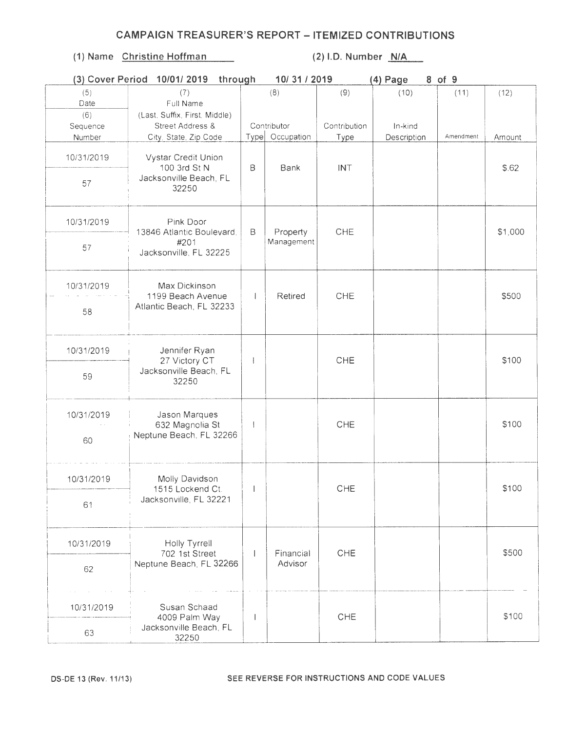|            | through<br>10/31/2019<br>8 of 9<br>(3) Cover Period 10/01/2019<br>(4) Page |                          |                 |              |             |           |         |  |  |  |
|------------|----------------------------------------------------------------------------|--------------------------|-----------------|--------------|-------------|-----------|---------|--|--|--|
| (5)        | (7)                                                                        |                          | (8)             | (9)          | (10)        | (11)      | (12)    |  |  |  |
| Date       | Full Name                                                                  |                          |                 |              |             |           |         |  |  |  |
| (6)        | (Last, Suffix, First, Middle)                                              |                          |                 |              |             |           |         |  |  |  |
| Sequence   | Street Address &                                                           |                          | Contributor     | Contribution | In-kind     |           |         |  |  |  |
| Number     | City, State, Zip Code                                                      |                          | Type Occupation | Type         | Description | Amendment | Amount  |  |  |  |
| 10/31/2019 | Vystar Credit Union<br>100 3rd St N                                        | $\mathsf B$              | Bank            | <b>INT</b>   |             |           | \$.62   |  |  |  |
| 57         | Jacksonville Beach, FL<br>32250                                            |                          |                 |              |             |           |         |  |  |  |
| 10/31/2019 | Pink Door<br>13846 Atlantic Boulevard,                                     | B                        | Property        | <b>CHE</b>   |             |           | \$1,000 |  |  |  |
| 57         | #201<br>Jacksonville, FL 32225                                             |                          | Management      |              |             |           |         |  |  |  |
| 10/31/2019 | Max Dickinson<br>1199 Beach Avenue                                         |                          | Retired         | CHE          |             |           | \$500   |  |  |  |
| 58         | Atlantic Beach, FL 32233                                                   |                          |                 |              |             |           |         |  |  |  |
| 10/31/2019 | Jennifer Ryan<br>27 Victory CT                                             | $\overline{1}$           |                 | CHE          |             |           | \$100   |  |  |  |
| 59         | Jacksonville Beach, FL<br>32250                                            |                          |                 |              |             |           |         |  |  |  |
| 10/31/2019 | Jason Marques<br>632 Magnolia St                                           | $\overline{1}$           |                 | CHE          |             |           | \$100   |  |  |  |
| 60         | Neptune Beach, FL 32266                                                    |                          |                 |              |             |           |         |  |  |  |
| 10/31/2019 | Molly Davidson<br>1515 Lockend Ct.                                         | $\Box$                   |                 | CHE          |             |           | \$100   |  |  |  |
| 61         | Jacksonville, FL 32221                                                     |                          |                 |              |             |           |         |  |  |  |
| 10/31/2019 | Holly Tyrrell<br>702 1st Street                                            |                          | Financial       | CHE          |             |           | \$500   |  |  |  |
| 62         | Neptune Beach, FL 32266                                                    |                          | Advisor         |              |             |           |         |  |  |  |
|            |                                                                            |                          |                 |              |             |           |         |  |  |  |
| 10/31/2019 | Susan Schaad<br>4009 Palm Way                                              | $\overline{\phantom{a}}$ |                 | CHE          |             |           | \$100   |  |  |  |
| 63         | Jacksonville Beach, FL<br>32250                                            |                          |                 |              |             |           |         |  |  |  |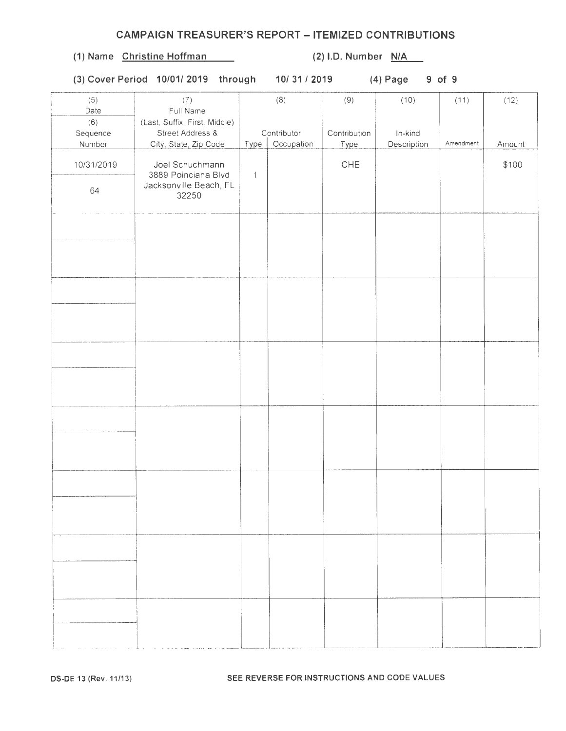# (1) Name Christine Hoffman (2) I.D. Number  $N/A$

(3) Cover Period 10/01/ 2019 through 10/31/2019 (4) Page 9 of 9

| (5)<br>Date                      | (7)<br>Full Name                                                           |              | (8)                       | (9)                  | (10)                   | (11)      | (12)   |
|----------------------------------|----------------------------------------------------------------------------|--------------|---------------------------|----------------------|------------------------|-----------|--------|
| (6)<br>Sequence<br><b>Number</b> | (Last, Suffix, First, Middle)<br>Street Address &<br>City, State, Zip Code | Type         | Contributor<br>Occupation | Contribution<br>Type | In-kind<br>Description | Amendment | Amount |
| 10/31/2019                       | Joel Schuchmann<br>3889 Poinciana Blvd                                     | $\mathbf{I}$ |                           | ${\sf CHE}$          |                        |           | \$100  |
| 64                               | Jacksonville Beach, FL<br>32250                                            |              |                           |                      |                        |           |        |
|                                  |                                                                            |              |                           |                      |                        |           |        |
|                                  |                                                                            |              |                           |                      |                        |           |        |
|                                  |                                                                            |              |                           |                      |                        |           |        |
|                                  |                                                                            |              |                           |                      |                        |           |        |
|                                  |                                                                            |              |                           |                      |                        |           |        |
|                                  |                                                                            |              |                           |                      |                        |           |        |
|                                  |                                                                            |              |                           |                      |                        |           |        |
|                                  |                                                                            |              |                           |                      |                        |           |        |
|                                  |                                                                            |              |                           |                      |                        |           |        |
|                                  |                                                                            |              |                           |                      |                        |           |        |
|                                  |                                                                            |              |                           |                      |                        |           |        |
|                                  |                                                                            |              |                           |                      |                        |           |        |
|                                  |                                                                            |              |                           |                      |                        |           |        |
|                                  | the contract of the common section                                         |              |                           |                      |                        |           |        |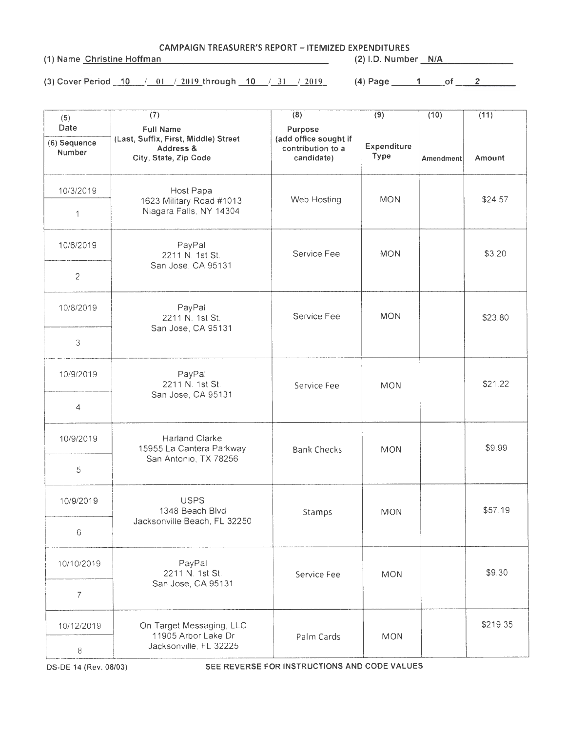CAMPAIGN TREASURER'S REPORT- ITEMIZED EXPENDITURES

(1) Name Christine Hoffman (2) I.D. Number N/A

(3) Cover Period  $\begin{array}{|c|c|c|c|c|c|c|c|c|}\hline \end{array}$  /\_01  $\begin{array}{|c|c|c|c|c|c|c|c|c|}\hline \end{array}$  10  $\begin{array}{|c|c|c|c|c|c|}\hline \end{array}$  31  $\begin{array}{|c|c|c|c|c|}\hline \end{array}$  2019  $\begin{array}{|c|c|c|c|c|}\hline \end{array}$  10  $\begin{array}{|c|c|c|c|c|}\hline \end{array}$  10  $\$ 

| (5)                            | (7)                                                                                            | (8)                                                                 | (9)                 | (10)      | (11)     |
|--------------------------------|------------------------------------------------------------------------------------------------|---------------------------------------------------------------------|---------------------|-----------|----------|
| Date<br>(6) Sequence<br>Number | <b>Full Name</b><br>(Last, Suffix, First, Middle) Street<br>Address &<br>City, State, Zip Code | Purpose<br>(add office sought if<br>contribution to a<br>candidate) | Expenditure<br>Type | Amendment | Amount   |
| 10/3/2019                      | Host Papa<br>1623 Military Road #1013<br>Niagara Falls, NY 14304                               | Web Hosting                                                         | <b>MON</b>          |           | \$24.57  |
| 1                              |                                                                                                |                                                                     |                     |           |          |
| 10/6/2019                      | PayPal<br>2211 N. 1st St.<br>San Jose, CA 95131                                                | Service Fee                                                         | <b>MON</b>          |           | \$3.20   |
| $\overline{c}$                 |                                                                                                |                                                                     |                     |           |          |
| 10/8/2019                      | PayPal<br>2211 N. 1st St.<br>San Jose, CA 95131                                                | Service Fee                                                         | <b>MON</b>          |           | \$23.80  |
| 3                              |                                                                                                |                                                                     |                     |           |          |
| 10/9/2019                      | PayPal<br>2211 N. 1st St.<br>San Jose, CA 95131                                                | Service Fee                                                         | <b>MON</b>          |           | \$21.22  |
| 4                              |                                                                                                |                                                                     |                     |           |          |
| 10/9/2019                      | Harland Clarke<br>15955 La Cantera Parkway<br>San Antonio, TX 78256                            | <b>Bank Checks</b>                                                  | <b>MON</b>          |           | \$9.99   |
| 5                              |                                                                                                |                                                                     |                     |           |          |
| 10/9/2019                      | <b>USPS</b><br>1348 Beach Blvd<br>Jacksonville Beach, FL 32250                                 | Stamps                                                              | <b>MON</b>          |           | \$57.19  |
| 6                              |                                                                                                |                                                                     |                     |           |          |
| 10/10/2019                     | PayPal<br>2211 N. 1st St.<br>San Jose, CA 95131                                                | Service Fee                                                         | <b>MON</b>          |           | \$9.30   |
| $\overline{7}$                 |                                                                                                |                                                                     |                     |           |          |
| 10/12/2019                     | On Target Messaging, LLC<br>11905 Arbor Lake Dr<br>Jacksonville, FL 32225                      | Palm Cards                                                          | <b>MON</b>          |           | \$219.35 |
| 8                              |                                                                                                |                                                                     |                     |           |          |

OS-DE 14 (Rev. 08/03) SEE REVERSE FOR INSTRUCTIONS AND CODE VALUES